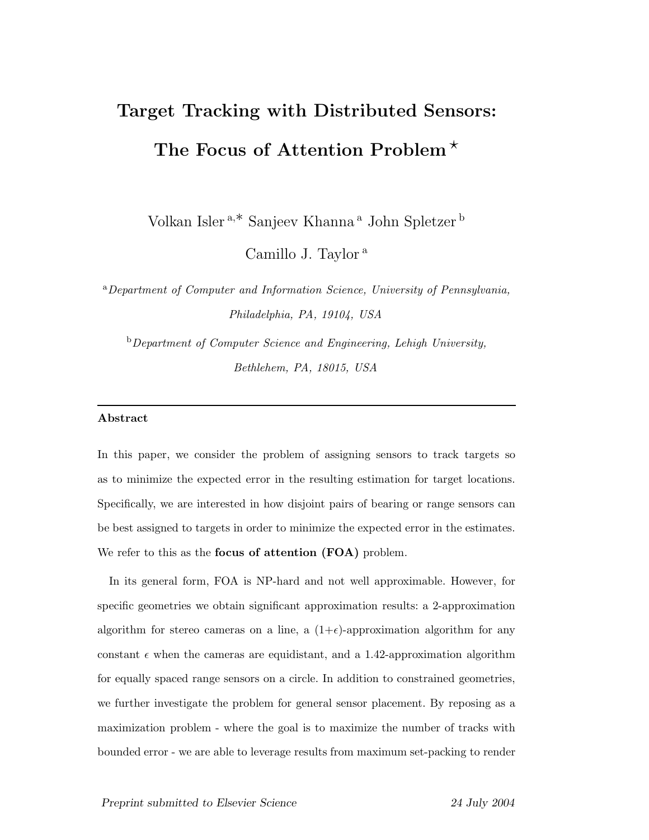# **Target Tracking with Distributed Sensors:** The Focus of Attention Problem<sup>\*</sup>

Volkan Isler <sup>a</sup>,∗ Sanjeev Khanna <sup>a</sup> John Spletzer <sup>b</sup>

Camillo J. Taylor <sup>a</sup>

<sup>a</sup>*Department of Computer and Information Science, University of Pennsylvania, Philadelphia, PA, 19104, USA*

<sup>b</sup>*Department of Computer Science and Engineering, Lehigh University, Bethlehem, PA, 18015, USA*

## **Abstract**

In this paper, we consider the problem of assigning sensors to track targets so as to minimize the expected error in the resulting estimation for target locations. Specifically, we are interested in how disjoint pairs of bearing or range sensors can be best assigned to targets in order to minimize the expected error in the estimates. We refer to this as the **focus of attention (FOA)** problem.

In its general form, FOA is NP-hard and not well approximable. However, for specific geometries we obtain significant approximation results: a 2-approximation algorithm for stereo cameras on a line, a  $(1+\epsilon)$ -approximation algorithm for any constant  $\epsilon$  when the cameras are equidistant, and a 1.42-approximation algorithm for equally spaced range sensors on a circle. In addition to constrained geometries, we further investigate the problem for general sensor placement. By reposing as a maximization problem - where the goal is to maximize the number of tracks with bounded error - we are able to leverage results from maximum set-packing to render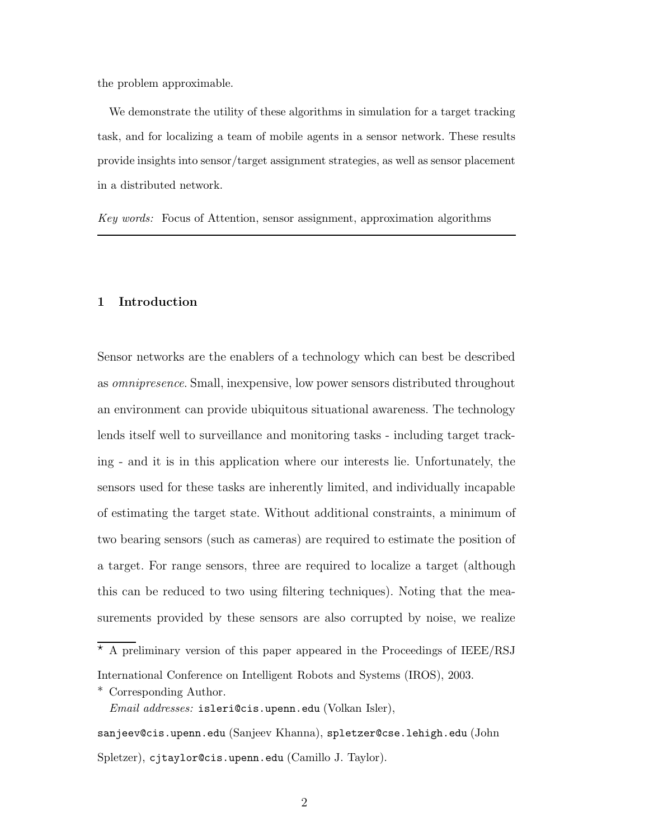the problem approximable.

We demonstrate the utility of these algorithms in simulation for a target tracking task, and for localizing a team of mobile agents in a sensor network. These results provide insights into sensor/target assignment strategies, as well as sensor placement in a distributed network.

*Key words:* Focus of Attention, sensor assignment, approximation algorithms

### **1 Introduction**

Sensor networks are the enablers of a technology which can best be described as omnipresence. Small, inexpensive, low power sensors distributed throughout an environment can provide ubiquitous situational awareness. The technology lends itself well to surveillance and monitoring tasks - including target tracking - and it is in this application where our interests lie. Unfortunately, the sensors used for these tasks are inherently limited, and individually incapable of estimating the target state. Without additional constraints, a minimum of two bearing sensors (such as cameras) are required to estimate the position of a target. For range sensors, three are required to localize a target (although this can be reduced to two using filtering techniques). Noting that the measurements provided by these sensors are also corrupted by noise, we realize

 $*$  A preliminary version of this paper appeared in the Proceedings of IEEE/RSJ International Conference on Intelligent Robots and Systems (IROS), 2003.

<sup>∗</sup> Corresponding Author.

*Email addresses:* isleri@cis.upenn.edu (Volkan Isler),

sanjeev@cis.upenn.edu (Sanjeev Khanna), spletzer@cse.lehigh.edu (John Spletzer), cjtaylor@cis.upenn.edu (Camillo J. Taylor).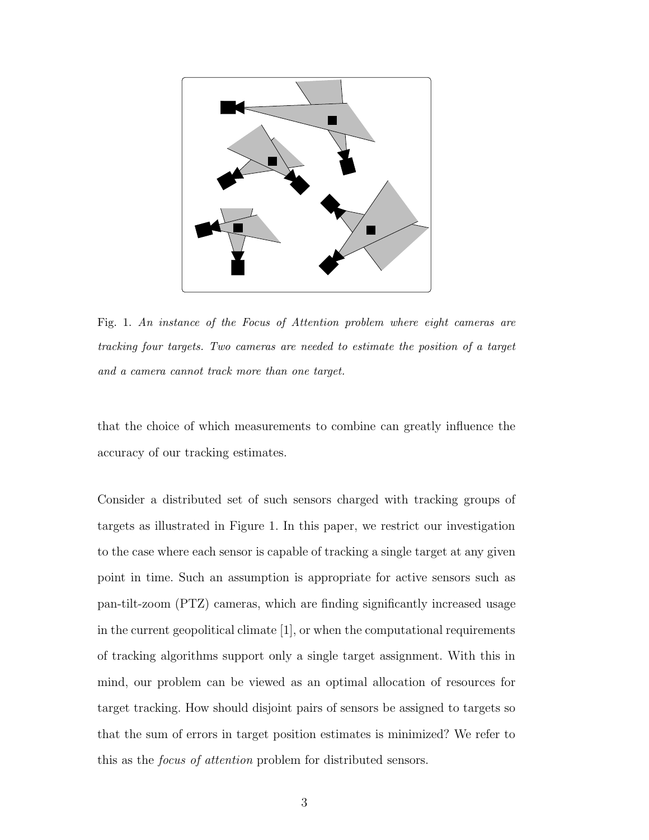

Fig. 1. *An instance of the Focus of Attention problem where eight cameras are tracking four targets. Two cameras are needed to estimate the position of a target and a camera cannot track more than one target.*

that the choice of which measurements to combine can greatly influence the accuracy of our tracking estimates.

Consider a distributed set of such sensors charged with tracking groups of targets as illustrated in Figure 1. In this paper, we restrict our investigation to the case where each sensor is capable of tracking a single target at any given point in time. Such an assumption is appropriate for active sensors such as pan-tilt-zoom (PTZ) cameras, which are finding significantly increased usage in the current geopolitical climate [1], or when the computational requirements of tracking algorithms support only a single target assignment. With this in mind, our problem can be viewed as an optimal allocation of resources for target tracking. How should disjoint pairs of sensors be assigned to targets so that the sum of errors in target position estimates is minimized? We refer to this as the focus of attention problem for distributed sensors.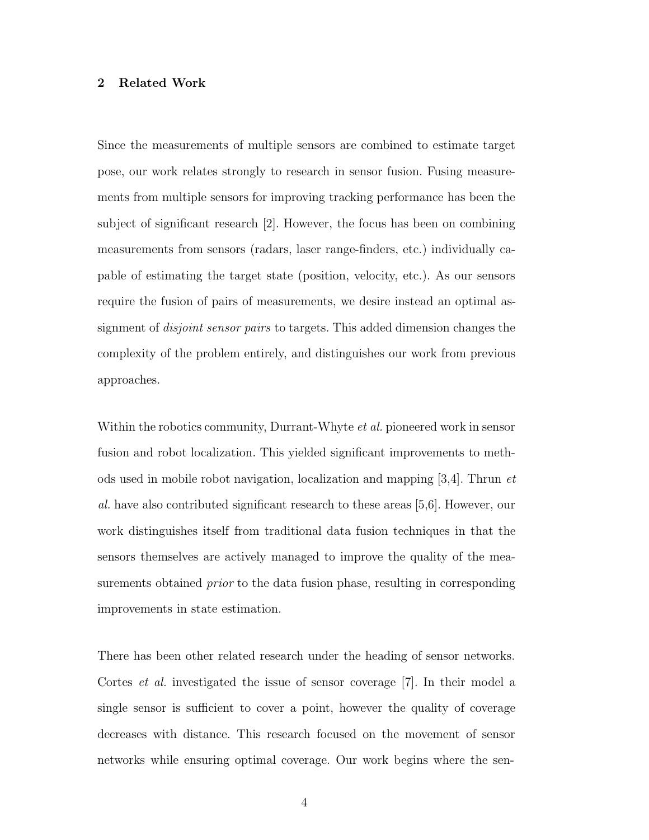## **2 Related Work**

Since the measurements of multiple sensors are combined to estimate target pose, our work relates strongly to research in sensor fusion. Fusing measurements from multiple sensors for improving tracking performance has been the subject of significant research [2]. However, the focus has been on combining measurements from sensors (radars, laser range-finders, etc.) individually capable of estimating the target state (position, velocity, etc.). As our sensors require the fusion of pairs of measurements, we desire instead an optimal assignment of *disjoint sensor pairs* to targets. This added dimension changes the complexity of the problem entirely, and distinguishes our work from previous approaches.

Within the robotics community, Durrant-Whyte *et al.* pioneered work in sensor fusion and robot localization. This yielded significant improvements to methods used in mobile robot navigation, localization and mapping [3,4]. Thrun et al. have also contributed significant research to these areas [5,6]. However, our work distinguishes itself from traditional data fusion techniques in that the sensors themselves are actively managed to improve the quality of the measurements obtained *prior* to the data fusion phase, resulting in corresponding improvements in state estimation.

There has been other related research under the heading of sensor networks. Cortes et al. investigated the issue of sensor coverage [7]. In their model a single sensor is sufficient to cover a point, however the quality of coverage decreases with distance. This research focused on the movement of sensor networks while ensuring optimal coverage. Our work begins where the sen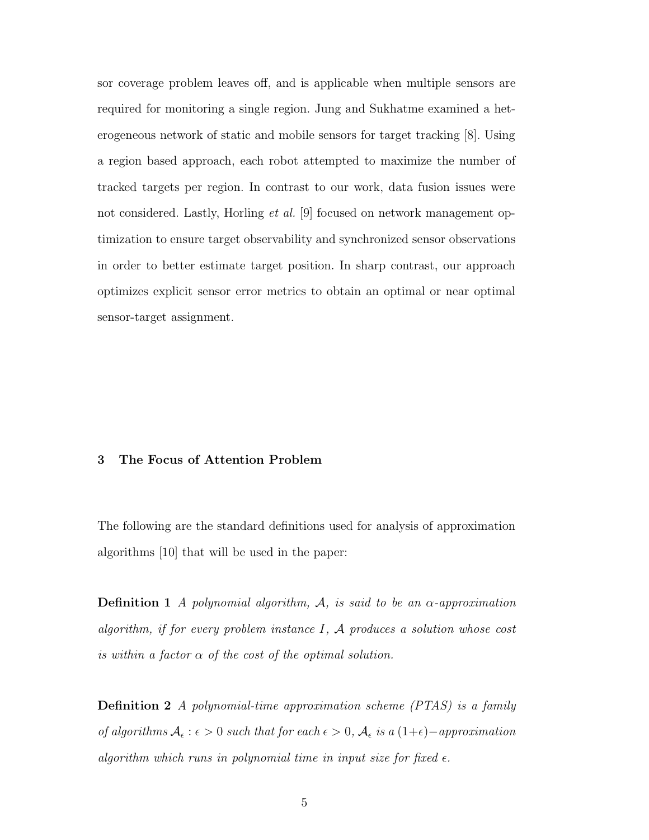sor coverage problem leaves off, and is applicable when multiple sensors are required for monitoring a single region. Jung and Sukhatme examined a heterogeneous network of static and mobile sensors for target tracking [8]. Using a region based approach, each robot attempted to maximize the number of tracked targets per region. In contrast to our work, data fusion issues were not considered. Lastly, Horling *et al.* [9] focused on network management optimization to ensure target observability and synchronized sensor observations in order to better estimate target position. In sharp contrast, our approach optimizes explicit sensor error metrics to obtain an optimal or near optimal sensor-target assignment.

## **3 The Focus of Attention Problem**

The following are the standard definitions used for analysis of approximation algorithms [10] that will be used in the paper:

**Definition 1** A polynomial algorithm,  $\mathcal{A}$ , is said to be an  $\alpha$ -approximation algorithm, if for every problem instance  $I$ ,  $A$  produces a solution whose cost is within a factor  $\alpha$  of the cost of the optimal solution.

**Definition 2** A polynomial-time approximation scheme (PTAS) is a family of algorithms  $A_{\epsilon} : \epsilon > 0$  such that for each  $\epsilon > 0$ ,  $A_{\epsilon}$  is a  $(1+\epsilon)$ -approximation algorithm which runs in polynomial time in input size for fixed  $\epsilon$ .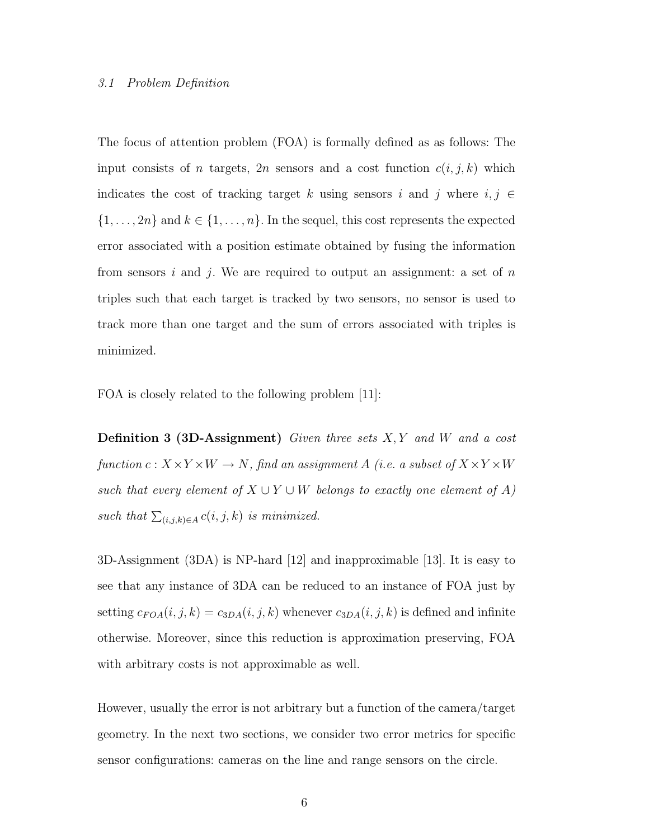#### 3.1 Problem Definition

The focus of attention problem (FOA) is formally defined as as follows: The input consists of n targets, 2n sensors and a cost function  $c(i, j, k)$  which indicates the cost of tracking target k using sensors i and j where  $i, j \in$  $\{1,\ldots,2n\}$  and  $k \in \{1,\ldots,n\}$ . In the sequel, this cost represents the expected error associated with a position estimate obtained by fusing the information from sensors i and j. We are required to output an assignment: a set of n triples such that each target is tracked by two sensors, no sensor is used to track more than one target and the sum of errors associated with triples is minimized.

FOA is closely related to the following problem [11]:

**Definition 3 (3D-Assignment)** Given three sets X, Y and W and a cost function  $c: X \times Y \times W \to N$ , find an assignment A (i.e. a subset of  $X \times Y \times W$ ) such that every element of  $X \cup Y \cup W$  belongs to exactly one element of A) such that  $\sum_{(i,j,k)\in A} c(i,j,k)$  is minimized.

3D-Assignment (3DA) is NP-hard [12] and inapproximable [13]. It is easy to see that any instance of 3DA can be reduced to an instance of FOA just by setting  $c_{FOA}(i, j, k) = c_{3DA}(i, j, k)$  whenever  $c_{3DA}(i, j, k)$  is defined and infinite otherwise. Moreover, since this reduction is approximation preserving, FOA with arbitrary costs is not approximable as well.

However, usually the error is not arbitrary but a function of the camera/target geometry. In the next two sections, we consider two error metrics for specific sensor configurations: cameras on the line and range sensors on the circle.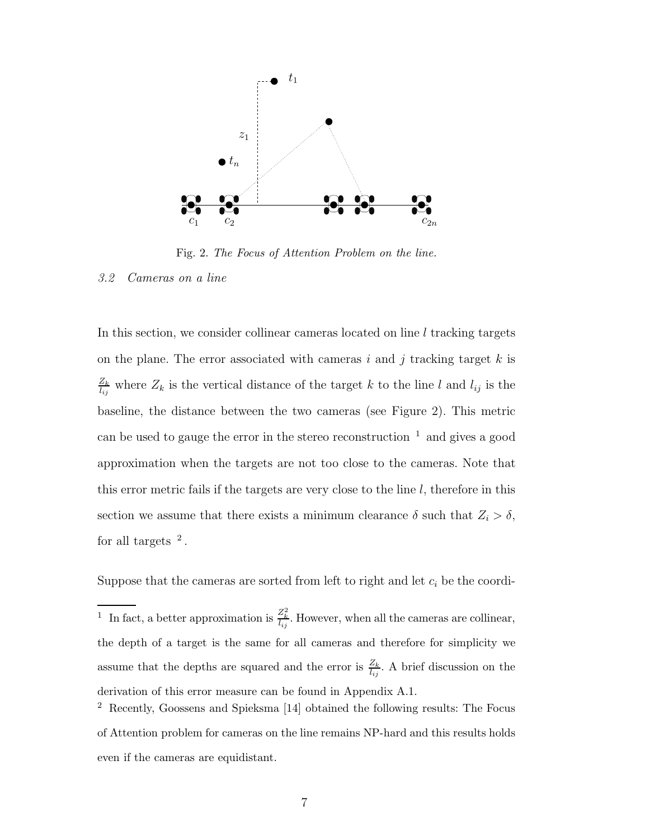

Fig. 2. *The Focus of Attention Problem on the line.*

#### 3.2 Cameras on a line

In this section, we consider collinear cameras located on line  $l$  tracking targets on the plane. The error associated with cameras  $i$  and  $j$  tracking target  $k$  is  $Z_k$  $\frac{Z_k}{l_{ij}}$  where  $Z_k$  is the vertical distance of the target k to the line l and  $l_{ij}$  is the baseline, the distance between the two cameras (see Figure 2). This metric can be used to gauge the error in the stereo reconstruction  $1$  and gives a good approximation when the targets are not too close to the cameras. Note that this error metric fails if the targets are very close to the line  $l$ , therefore in this section we assume that there exists a minimum clearance  $\delta$  such that  $Z_i > \delta$ , for all targets  $^2$ .

Suppose that the cameras are sorted from left to right and let  $c_i$  be the coordi-

<sup>1</sup> In fact, a better approximation is  $\frac{Z_k^2}{l_{ij}}$ . However, when all the cameras are collinear, the depth of a target is the same for all cameras and therefore for simplicity we assume that the depths are squared and the error is  $\frac{Z_k}{l_{ij}}$ . A brief discussion on the derivation of this error measure can be found in Appendix A.1.

<sup>2</sup> Recently, Goossens and Spieksma [14] obtained the following results: The Focus of Attention problem for cameras on the line remains NP-hard and this results holds even if the cameras are equidistant.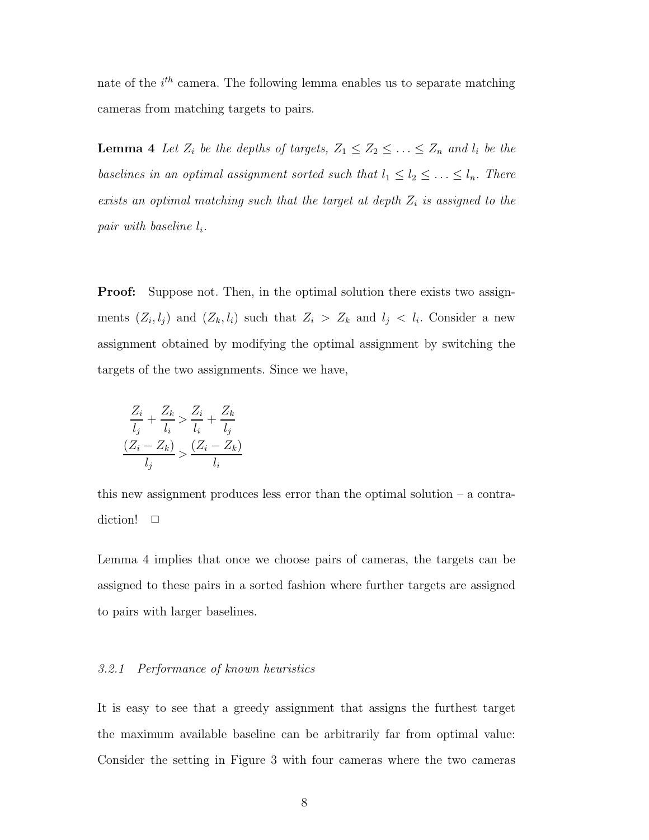nate of the  $i^{th}$  camera. The following lemma enables us to separate matching cameras from matching targets to pairs.

**Lemma 4** Let  $Z_i$  be the depths of targets,  $Z_1 \leq Z_2 \leq \ldots \leq Z_n$  and  $l_i$  be the baselines in an optimal assignment sorted such that  $l_1 \leq l_2 \leq \ldots \leq l_n$ . There exists an optimal matching such that the target at depth  $Z_i$  is assigned to the pair with baseline  $l_i$ .

**Proof:** Suppose not. Then, in the optimal solution there exists two assignments  $(Z_i, l_j)$  and  $(Z_k, l_i)$  such that  $Z_i > Z_k$  and  $l_j < l_i$ . Consider a new assignment obtained by modifying the optimal assignment by switching the targets of the two assignments. Since we have,

$$
\frac{Z_i}{l_j} + \frac{Z_k}{l_i} > \frac{Z_i}{l_i} + \frac{Z_k}{l_j}
$$
\n
$$
\frac{(Z_i - Z_k)}{l_j} > \frac{(Z_i - Z_k)}{l_i}
$$

this new assignment produces less error than the optimal solution  $-$  a contradiction!  $\square$ 

Lemma 4 implies that once we choose pairs of cameras, the targets can be assigned to these pairs in a sorted fashion where further targets are assigned to pairs with larger baselines.

## 3.2.1 Performance of known heuristics

It is easy to see that a greedy assignment that assigns the furthest target the maximum available baseline can be arbitrarily far from optimal value: Consider the setting in Figure 3 with four cameras where the two cameras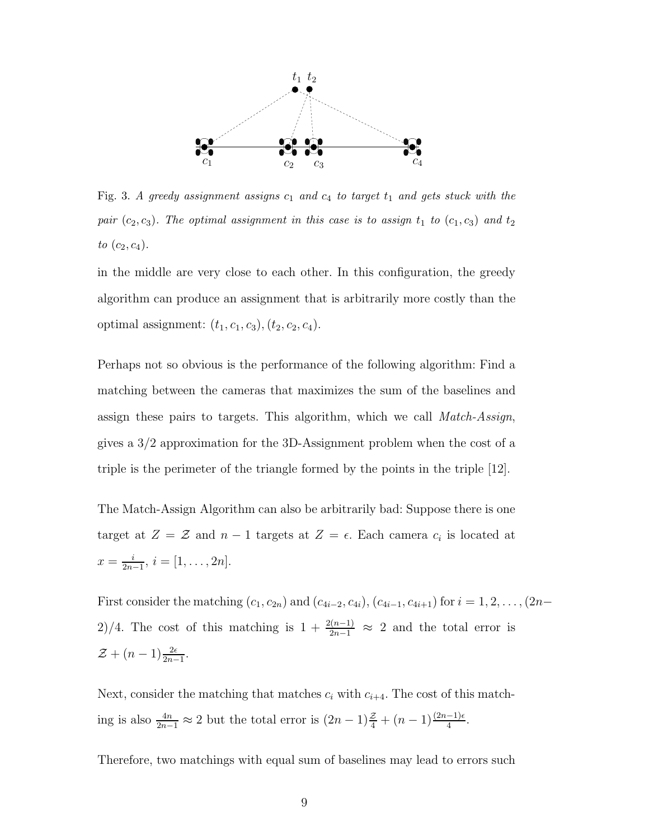

Fig. 3. A greedy assignment assigns  $c_1$  and  $c_4$  to target  $t_1$  and gets stuck with the *pair*  $(c_2, c_3)$ *. The optimal assignment in this case is to assign*  $t_1$  *to*  $(c_1, c_3)$  *and*  $t_2$  $to (c_2, c_4)$ .

in the middle are very close to each other. In this configuration, the greedy algorithm can produce an assignment that is arbitrarily more costly than the optimal assignment:  $(t_1, c_1, c_3), (t_2, c_2, c_4)$ .

Perhaps not so obvious is the performance of the following algorithm: Find a matching between the cameras that maximizes the sum of the baselines and assign these pairs to targets. This algorithm, which we call Match-Assign, gives a 3/2 approximation for the 3D-Assignment problem when the cost of a triple is the perimeter of the triangle formed by the points in the triple [12].

The Match-Assign Algorithm can also be arbitrarily bad: Suppose there is one target at  $Z = \mathcal{Z}$  and  $n - 1$  targets at  $Z = \epsilon$ . Each camera  $c_i$  is located at  $x = \frac{i}{2n-1}, i = [1, \ldots, 2n].$ 

First consider the matching  $(c_1, c_{2n})$  and  $(c_{4i-2}, c_{4i})$ ,  $(c_{4i-1}, c_{4i+1})$  for  $i = 1, 2, ..., (2n-1)$ 2)/4. The cost of this matching is  $1 + \frac{2(n-1)}{2n-1} \approx 2$  and the total error is  $\mathcal{Z} + (n-1) \frac{2\epsilon}{2n-1}.$ 

Next, consider the matching that matches  $c_i$  with  $c_{i+4}$ . The cost of this matching is also  $\frac{4n}{2n-1} \approx 2$  but the total error is  $(2n-1)\frac{\mathcal{Z}}{4} + (n-1)\frac{(2n-1)\epsilon}{4}$ .

Therefore, two matchings with equal sum of baselines may lead to errors such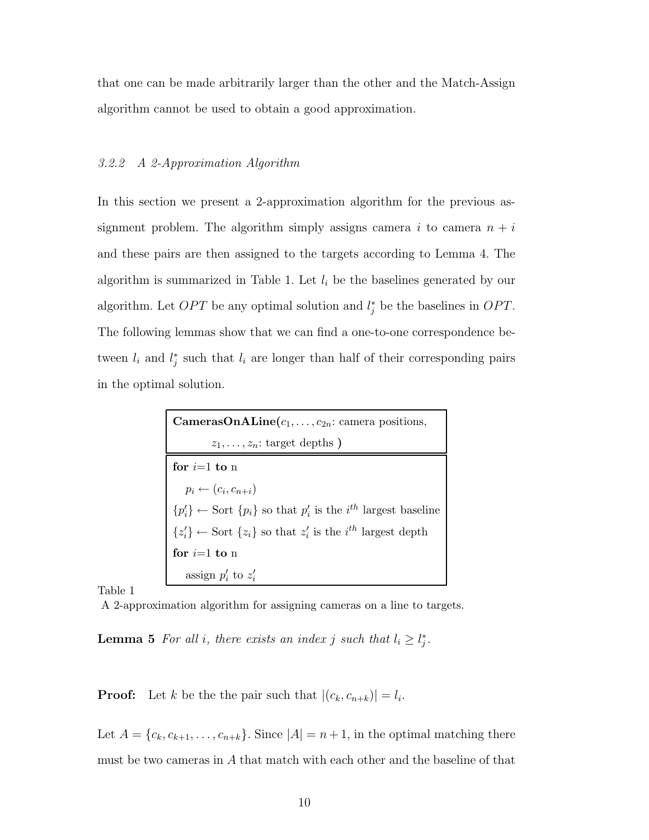that one can be made arbitrarily larger than the other and the Match-Assign algorithm cannot be used to obtain a good approximation.

# 3.2.2 A 2-Approximation Algorithm

In this section we present a 2-approximation algorithm for the previous assignment problem. The algorithm simply assigns camera i to camera  $n + i$ and these pairs are then assigned to the targets according to Lemma 4. The algorithm is summarized in Table 1. Let  $l_i$  be the baselines generated by our algorithm. Let  $OPT$  be any optimal solution and  $l_j^*$  be the baselines in  $OPT$ . The following lemmas show that we can find a one-to-one correspondence between  $l_i$  and  $l_j^*$  such that  $l_i$  are longer than half of their corresponding pairs in the optimal solution.

| <b>CamerasOnALine</b> $(c_1, \ldots, c_{2n})$ : camera positions,                             |
|-----------------------------------------------------------------------------------------------|
| $z_1, \ldots, z_n$ : target depths)                                                           |
| for $i=1$ to n                                                                                |
| $p_i \leftarrow (c_i, c_{n+i})$                                                               |
| $\{p_i'\}\leftarrow$ Sort $\{p_i\}$ so that $p_i'$ is the $i^{th}$ largest baseline           |
| $\vert \{z_i'\}\leftarrow$ Sort $\{z_i\}$ so that $z_i'$ is the i <sup>th</sup> largest depth |
| for $i=1$ to n                                                                                |
| assign $p'_i$ to $z'_i$                                                                       |

Table 1

A 2-approximation algorithm for assigning cameras on a line to targets.

**Lemma 5** For all i, there exists an index j such that  $l_i \geq l_j^*$ .

**Proof:** Let k be the the pair such that  $|(c_k, c_{n+k})| = l_i$ .

Let  $A = \{c_k, c_{k+1}, \ldots, c_{n+k}\}.$  Since  $|A| = n+1$ , in the optimal matching there must be two cameras in A that match with each other and the baseline of that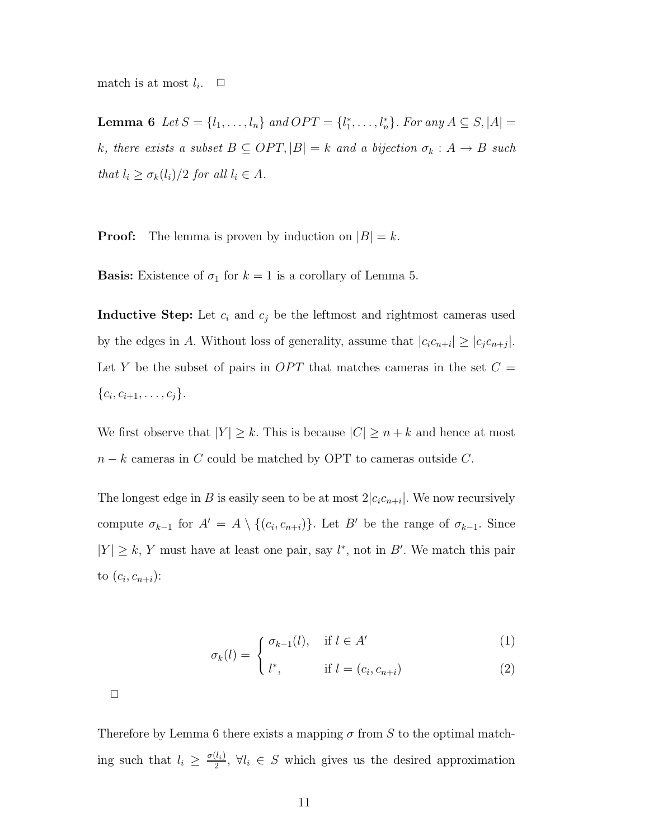match is at most  $l_i$ .  $\Box$ 

**Lemma 6** Let  $S = \{l_1, ..., l_n\}$  and  $OPT = \{l_1^*, ..., l_n^*\}$ . For any  $A \subseteq S, |A|$ k, there exists a subset  $B \subseteq OPT$ ,  $|B| = k$  and a bijection  $\sigma_k : A \to B$  such that  $l_i \geq \sigma_k(l_i)/2$  for all  $l_i \in A$ .

**Proof:** The lemma is proven by induction on  $|B| = k$ .

**Basis:** Existence of  $\sigma_1$  for  $k = 1$  is a corollary of Lemma 5.

**Inductive Step:** Let  $c_i$  and  $c_j$  be the leftmost and rightmost cameras used by the edges in A. Without loss of generality, assume that  $|c_i c_{n+i}| \geq |c_j c_{n+j}|$ . Let Y be the subset of pairs in  $OPT$  that matches cameras in the set  $C =$  ${c_i, c_{i+1}, \ldots, c_j}.$ 

We first observe that  $|Y| \geq k$ . This is because  $|C| \geq n + k$  and hence at most  $n - k$  cameras in C could be matched by OPT to cameras outside C.

The longest edge in B is easily seen to be at most  $2|c_i c_{n+i}|$ . We now recursively compute  $\sigma_{k-1}$  for  $A' = A \setminus \{(c_i, c_{n+i})\}$ . Let B' be the range of  $\sigma_{k-1}$ . Since  $|Y| \geq k$ , Y must have at least one pair, say  $l^*$ , not in B'. We match this pair to  $(c_i, c_{n+i})$ :

$$
\int \sigma_{k-1}(l), \quad \text{if } l \in A' \tag{1}
$$

$$
\sigma_k(l) = \begin{cases} \sum_{l^*} \sigma_{k,l} & \text{if } l = (c_i, c_{n+i}) \\ l^*, & \text{if } l = (c_i, c_{n+i}) \end{cases} \tag{2}
$$

 $\Box$ 

Therefore by Lemma 6 there exists a mapping  $\sigma$  from S to the optimal matching such that  $l_i \geq \frac{\sigma(l_i)}{2}$ ,  $\forall l_i \in S$  which gives us the desired approximation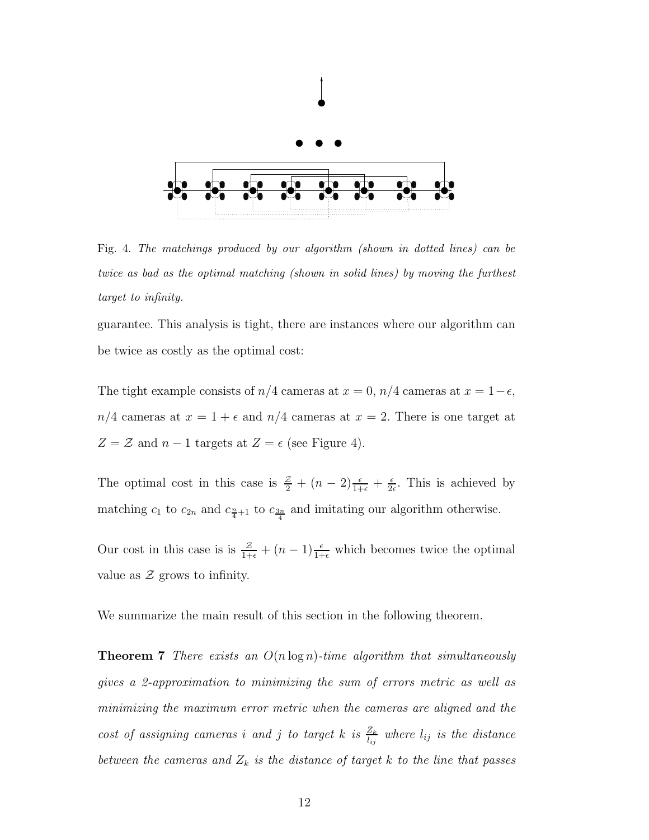

Fig. 4. *The matchings produced by our algorithm (shown in dotted lines) can be twice as bad as the optimal matching (shown in solid lines) by moving the furthest target to infinity.*

guarantee. This analysis is tight, there are instances where our algorithm can be twice as costly as the optimal cost:

The tight example consists of  $n/4$  cameras at  $x = 0$ ,  $n/4$  cameras at  $x = 1 - \epsilon$ ,  $n/4$  cameras at  $x = 1 + \epsilon$  and  $n/4$  cameras at  $x = 2$ . There is one target at  $Z = \mathcal{Z}$  and  $n - 1$  targets at  $Z = \epsilon$  (see Figure 4).

The optimal cost in this case is  $\frac{z}{2} + (n-2) \frac{\epsilon}{1+\epsilon} + \frac{\epsilon}{2\epsilon}$ . This is achieved by matching  $c_1$  to  $c_{2n}$  and  $c_{\frac{n}{4}+1}$  to  $c_{\frac{3n}{4}}$  and imitating our algorithm otherwise.

Our cost in this case is is  $\frac{z}{1+\epsilon} + (n-1)\frac{\epsilon}{1+\epsilon}$  which becomes twice the optimal value as  $\mathcal Z$  grows to infinity.

We summarize the main result of this section in the following theorem.

**Theorem 7** There exists an  $O(n \log n)$ -time algorithm that simultaneously gives a 2-approximation to minimizing the sum of errors metric as well as minimizing the maximum error metric when the cameras are aligned and the cost of assigning cameras i and j to target k is  $\frac{Z_k}{l_{ij}}$  where  $l_{ij}$  is the distance between the cameras and  $Z_k$  is the distance of target k to the line that passes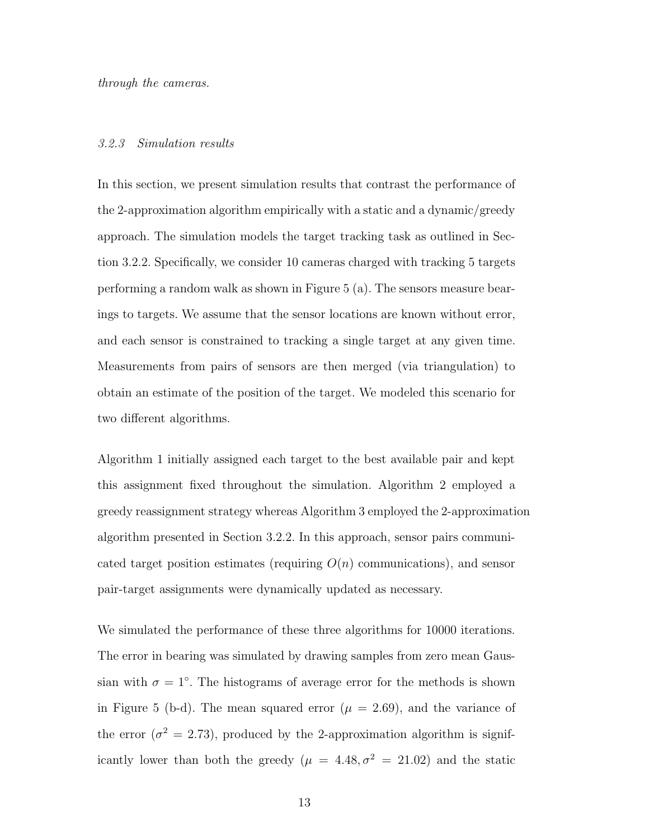through the cameras.

#### 3.2.3 Simulation results

In this section, we present simulation results that contrast the performance of the 2-approximation algorithm empirically with a static and a dynamic/greedy approach. The simulation models the target tracking task as outlined in Section 3.2.2. Specifically, we consider 10 cameras charged with tracking 5 targets performing a random walk as shown in Figure 5 (a). The sensors measure bearings to targets. We assume that the sensor locations are known without error, and each sensor is constrained to tracking a single target at any given time. Measurements from pairs of sensors are then merged (via triangulation) to obtain an estimate of the position of the target. We modeled this scenario for two different algorithms.

Algorithm 1 initially assigned each target to the best available pair and kept this assignment fixed throughout the simulation. Algorithm 2 employed a greedy reassignment strategy whereas Algorithm 3 employed the 2-approximation algorithm presented in Section 3.2.2. In this approach, sensor pairs communicated target position estimates (requiring  $O(n)$  communications), and sensor pair-target assignments were dynamically updated as necessary.

We simulated the performance of these three algorithms for 10000 iterations. The error in bearing was simulated by drawing samples from zero mean Gaussian with  $\sigma = 1^{\circ}$ . The histograms of average error for the methods is shown in Figure 5 (b-d). The mean squared error ( $\mu = 2.69$ ), and the variance of the error ( $\sigma^2 = 2.73$ ), produced by the 2-approximation algorithm is significantly lower than both the greedy ( $\mu = 4.48, \sigma^2 = 21.02$ ) and the static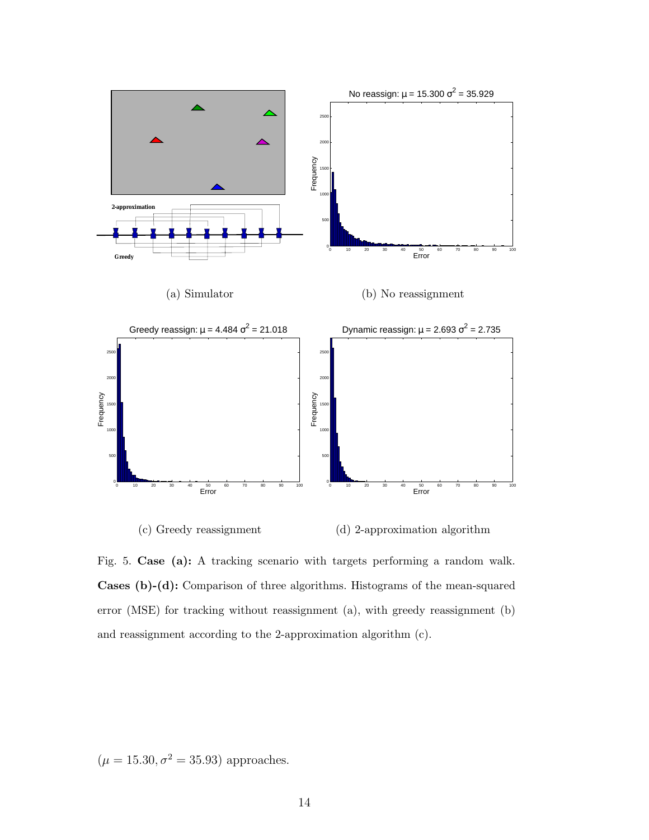

(c) Greedy reassignment (d) 2-approximation algorithm

Fig. 5. **Case (a):** A tracking scenario with targets performing a random walk. **Cases (b)-(d):** Comparison of three algorithms. Histograms of the mean-squared error (MSE) for tracking without reassignment (a), with greedy reassignment (b) and reassignment according to the 2-approximation algorithm (c).

 $(\mu = 15.30, \sigma^2 = 35.93)$  approaches.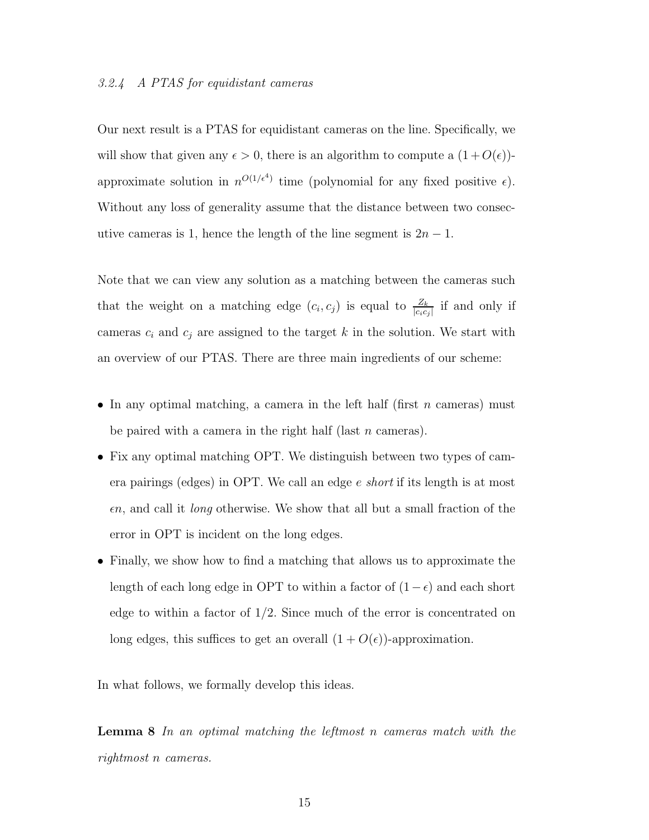## 3.2.4 A PTAS for equidistant cameras

Our next result is a PTAS for equidistant cameras on the line. Specifically, we will show that given any  $\epsilon > 0$ , there is an algorithm to compute a  $(1+O(\epsilon))$ approximate solution in  $n^{O(1/\epsilon^4)}$  time (polynomial for any fixed positive  $\epsilon$ ). Without any loss of generality assume that the distance between two consecutive cameras is 1, hence the length of the line segment is  $2n - 1$ .

Note that we can view any solution as a matching between the cameras such that the weight on a matching edge  $(c_i, c_j)$  is equal to  $\frac{Z_k}{|c_i c_j|}$  if and only if cameras  $c_i$  and  $c_j$  are assigned to the target k in the solution. We start with an overview of our PTAS. There are three main ingredients of our scheme:

- In any optimal matching, a camera in the left half (first  $n$  cameras) must be paired with a camera in the right half (last  $n$  cameras).
- Fix any optimal matching OPT. We distinguish between two types of camera pairings (edges) in OPT. We call an edge e short if its length is at most  $\epsilon n$ , and call it *long* otherwise. We show that all but a small fraction of the error in OPT is incident on the long edges.
- Finally, we show how to find a matching that allows us to approximate the length of each long edge in OPT to within a factor of  $(1-\epsilon)$  and each short edge to within a factor of  $1/2$ . Since much of the error is concentrated on long edges, this suffices to get an overall  $(1 + O(\epsilon))$ -approximation.

In what follows, we formally develop this ideas.

**Lemma 8** In an optimal matching the leftmost n cameras match with the rightmost n cameras.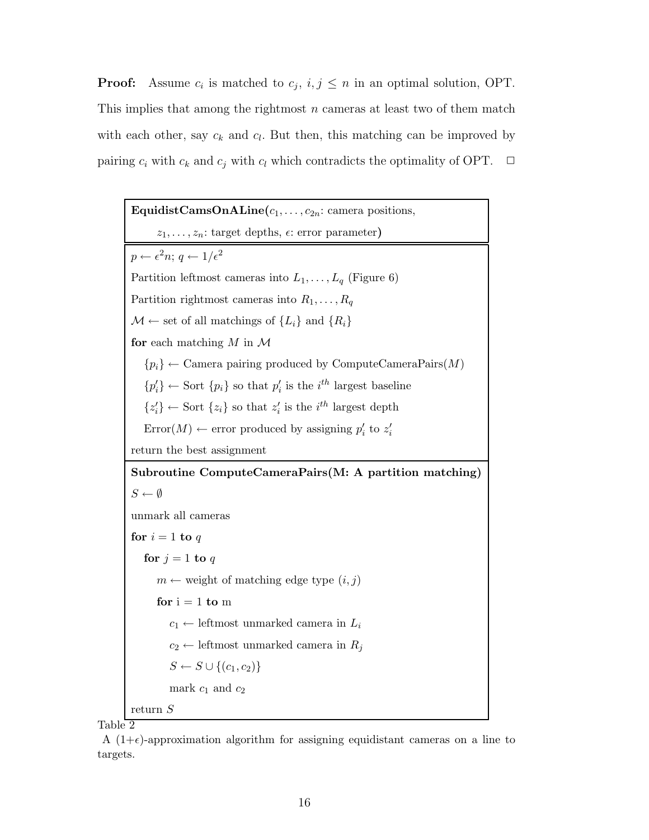**Proof:** Assume  $c_i$  is matched to  $c_j$ ,  $i, j \leq n$  in an optimal solution, OPT. This implies that among the rightmost  $n$  cameras at least two of them match with each other, say  $c_k$  and  $c_l$ . But then, this matching can be improved by pairing  $c_i$  with  $c_k$  and  $c_j$  with  $c_l$  which contradicts the optimality of OPT.  $\Box$ 

**EquidistCamsOnALine** $(c_1, \ldots, c_{2n})$ : camera positions,  $z_1, \ldots, z_n$ : target depths,  $\epsilon$ : error parameter)  $p \leftarrow \epsilon^2 n; q \leftarrow 1/\epsilon^2$ Partition leftmost cameras into  $L_1, \ldots, L_q$  (Figure 6) Partition rightmost cameras into  $R_1, \ldots, R_q$  $\mathcal{M} \leftarrow$  set of all matchings of  $\{L_i\}$  and  $\{R_i\}$ **for** each matching M in M  ${p_i} \leftarrow$  Camera pairing produced by ComputeCameraPairs $(M)$  ${p'_i} \leftarrow$  Sort  ${p_i}$  so that  $p'_i$  is the  $i^{th}$  largest baseline  ${z'_{i}} \leftarrow$  Sort  ${z_{i}}$  so that  $z'_{i}$  is the  $i^{th}$  largest depth  $Error(M) \leftarrow error produced by assigning p'_i to z'_i$ return the best assignment **Subroutine ComputeCameraPairs(M: A partition matching)**  $S \leftarrow \emptyset$ unmark all cameras **for**  $i = 1$  **to** q **for**  $j = 1$  **to**  $q$  $m \leftarrow$  weight of matching edge type  $(i, j)$ **for**  $i = 1$  **to** m  $c_1 \leftarrow$  leftmost unmarked camera in  $L_i$  $c_2 \leftarrow$  leftmost unmarked camera in  $R_j$  $S \leftarrow S \cup \{(c_1, c_2)\}\$ mark  $c_1$  and  $c_2$ return S

Table 2

A  $(1+\epsilon)$ -approximation algorithm for assigning equidistant cameras on a line to targets.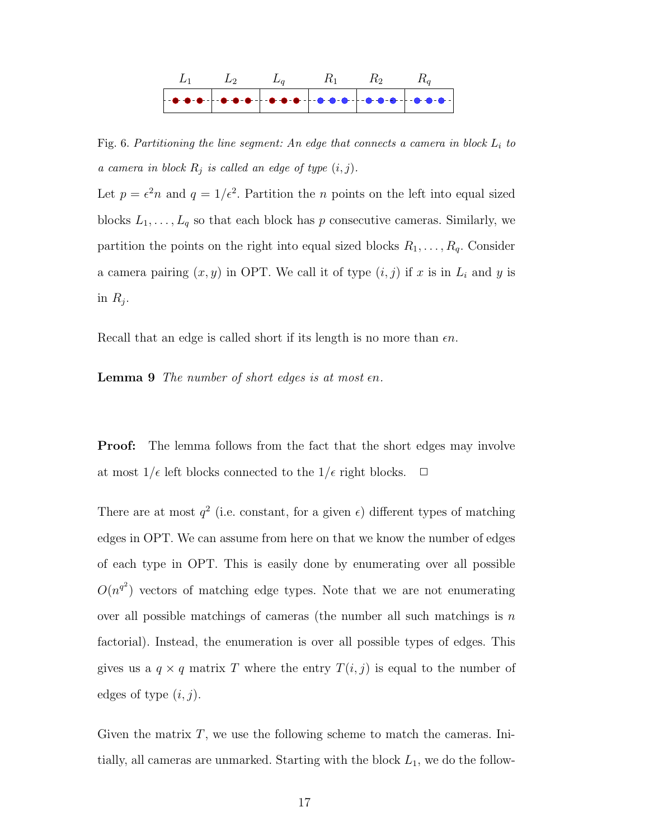

Fig. 6. Partitioning the line segment: An edge that connects a camera in block  $L_i$  to *a camera in block*  $R_j$  *is called an edge of type*  $(i, j)$ *.* 

Let  $p = \epsilon^2 n$  and  $q = 1/\epsilon^2$ . Partition the n points on the left into equal sized blocks  $L_1, \ldots, L_q$  so that each block has p consecutive cameras. Similarly, we partition the points on the right into equal sized blocks  $R_1, \ldots, R_q$ . Consider a camera pairing  $(x, y)$  in OPT. We call it of type  $(i, j)$  if x is in  $L_i$  and y is in  $R_i$ .

Recall that an edge is called short if its length is no more than  $\epsilon n$ .

**Lemma 9** The number of short edges is at most  $\epsilon n$ .

**Proof:** The lemma follows from the fact that the short edges may involve at most  $1/\epsilon$  left blocks connected to the  $1/\epsilon$  right blocks.  $\Box$ 

There are at most  $q^2$  (i.e. constant, for a given  $\epsilon$ ) different types of matching edges in OPT. We can assume from here on that we know the number of edges of each type in OPT. This is easily done by enumerating over all possible  $O(n^{q^2})$  vectors of matching edge types. Note that we are not enumerating over all possible matchings of cameras (the number all such matchings is  $n$ factorial). Instead, the enumeration is over all possible types of edges. This gives us a  $q \times q$  matrix T where the entry  $T(i, j)$  is equal to the number of edges of type  $(i, j)$ .

Given the matrix  $T$ , we use the following scheme to match the cameras. Initially, all cameras are unmarked. Starting with the block  $L_1$ , we do the follow-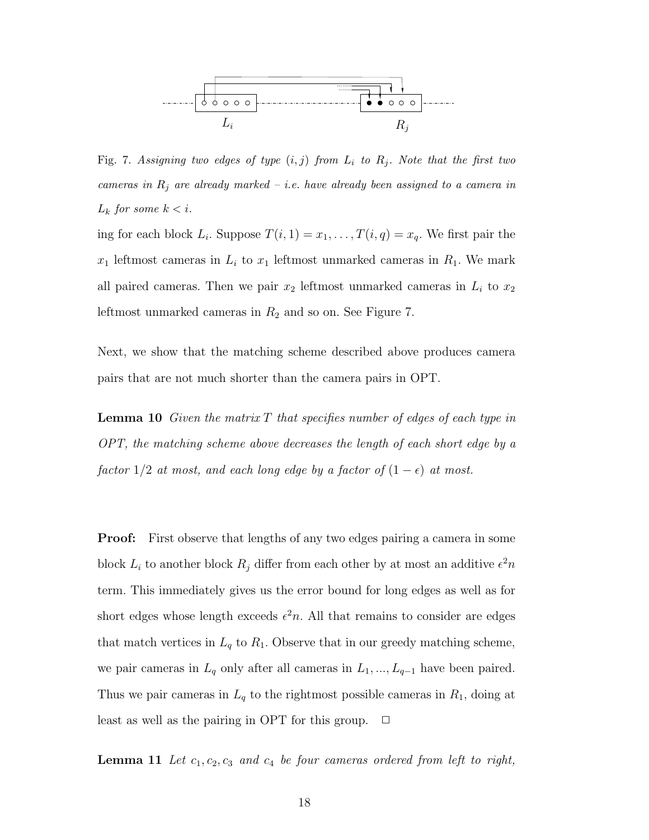

Fig. 7. Assigning two edges of type  $(i, j)$  from  $L_i$  to  $R_j$ . Note that the first two *cameras in* R<sup>j</sup> *are already marked – i.e. have already been assigned to a camera in*  $L_k$  *for some*  $k < i$ *.* 

ing for each block  $L_i$ . Suppose  $T(i, 1) = x_1, \ldots, T(i, q) = x_q$ . We first pair the  $x_1$  leftmost cameras in  $L_i$  to  $x_1$  leftmost unmarked cameras in  $R_1$ . We mark all paired cameras. Then we pair  $x_2$  leftmost unmarked cameras in  $L_i$  to  $x_2$ leftmost unmarked cameras in  $R_2$  and so on. See Figure 7.

Next, we show that the matching scheme described above produces camera pairs that are not much shorter than the camera pairs in OPT.

**Lemma 10** Given the matrix T that specifies number of edges of each type in OPT, the matching scheme above decreases the length of each short edge by a factor 1/2 at most, and each long edge by a factor of  $(1 - \epsilon)$  at most.

**Proof:** First observe that lengths of any two edges pairing a camera in some block  $L_i$  to another block  $R_j$  differ from each other by at most an additive  $\epsilon^2 n$ term. This immediately gives us the error bound for long edges as well as for short edges whose length exceeds  $\epsilon^2 n$ . All that remains to consider are edges that match vertices in  $L_q$  to  $R_1$ . Observe that in our greedy matching scheme, we pair cameras in  $L_q$  only after all cameras in  $L_1, ..., L_{q-1}$  have been paired. Thus we pair cameras in  $L_q$  to the rightmost possible cameras in  $R_1$ , doing at least as well as the pairing in OPT for this group.  $\Box$ 

**Lemma 11** Let  $c_1, c_2, c_3$  and  $c_4$  be four cameras ordered from left to right,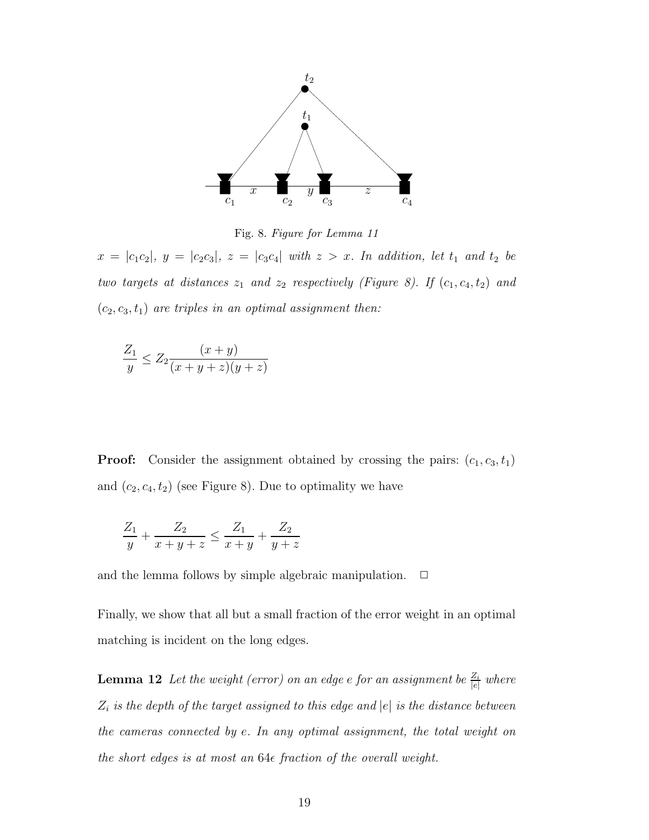

Fig. 8. *Figure for Lemma 11*

 $x = |c_1c_2|$ ,  $y = |c_2c_3|$ ,  $z = |c_3c_4|$  with  $z > x$ . In addition, let  $t_1$  and  $t_2$  be two targets at distances  $z_1$  and  $z_2$  respectively (Figure 8). If  $(c_1, c_4, t_2)$  and  $(c_2, c_3, t_1)$  are triples in an optimal assignment then:

$$
\frac{Z_1}{y} \le Z_2 \frac{(x+y)}{(x+y+z)(y+z)}
$$

**Proof:** Consider the assignment obtained by crossing the pairs:  $(c_1, c_3, t_1)$ and  $(c_2, c_4, t_2)$  (see Figure 8). Due to optimality we have

$$
\frac{Z_1}{y} + \frac{Z_2}{x+y+z} \le \frac{Z_1}{x+y} + \frac{Z_2}{y+z}
$$

and the lemma follows by simple algebraic manipulation.  $\Box$ 

Finally, we show that all but a small fraction of the error weight in an optimal matching is incident on the long edges.

**Lemma 12** Let the weight (error) on an edge  $e$  for an assignment be  $\frac{Z_i}{|e|}$  where  $Z_i$  is the depth of the target assigned to this edge and  $|e|$  is the distance between the cameras connected by e. In any optimal assignment, the total weight on the short edges is at most an  $64\epsilon$  fraction of the overall weight.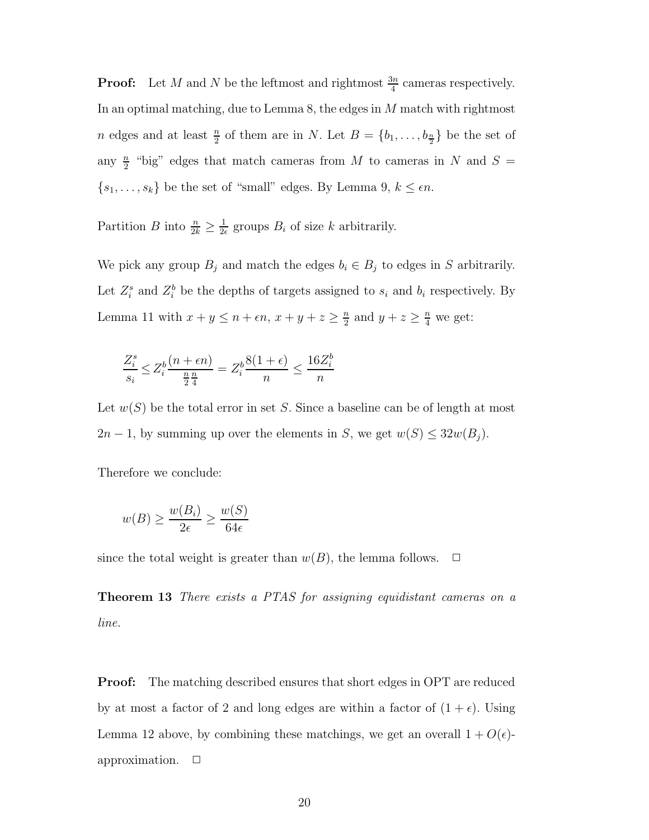**Proof:** Let M and N be the leftmost and rightmost  $\frac{3n}{4}$  cameras respectively. In an optimal matching, due to Lemma 8, the edges in M match with rightmost *n* edges and at least  $\frac{n}{2}$  of them are in *N*. Let  $B = \{b_1, \ldots, b_{\frac{n}{2}}\}$  be the set of any  $\frac{n}{2}$  "big" edges that match cameras from M to cameras in N and S =  $\{s_1, \ldots, s_k\}$  be the set of "small" edges. By Lemma 9,  $k \leq \epsilon n$ .

Partition B into  $\frac{n}{2k} \geq \frac{1}{2\epsilon}$  groups  $B_i$  of size k arbitrarily.

We pick any group  $B_j$  and match the edges  $b_i \in B_j$  to edges in S arbitrarily. Let  $Z_i^s$  and  $Z_i^b$  be the depths of targets assigned to  $s_i$  and  $b_i$  respectively. By Lemma 11 with  $x + y \le n + \epsilon n$ ,  $x + y + z \ge \frac{n}{2}$  and  $y + z \ge \frac{n}{4}$  we get:

$$
\frac{Z_i^s}{s_i} \le Z_i^b \frac{(n+\epsilon n)}{\frac{n}{2}\frac{n}{4}} = Z_i^b \frac{8(1+\epsilon)}{n} \le \frac{16Z_i^b}{n}
$$

Let  $w(S)$  be the total error in set S. Since a baseline can be of length at most  $2n-1$ , by summing up over the elements in S, we get  $w(S) \leq 32w(B_j)$ .

Therefore we conclude:

$$
w(B) \ge \frac{w(B_i)}{2\epsilon} \ge \frac{w(S)}{64\epsilon}
$$

since the total weight is greater than  $w(B)$ , the lemma follows.  $\Box$ 

**Theorem 13** There exists a PTAS for assigning equidistant cameras on a line.

**Proof:** The matching described ensures that short edges in OPT are reduced by at most a factor of 2 and long edges are within a factor of  $(1 + \epsilon)$ . Using Lemma 12 above, by combining these matchings, we get an overall  $1 + O(\epsilon)$ approximation.  $\square$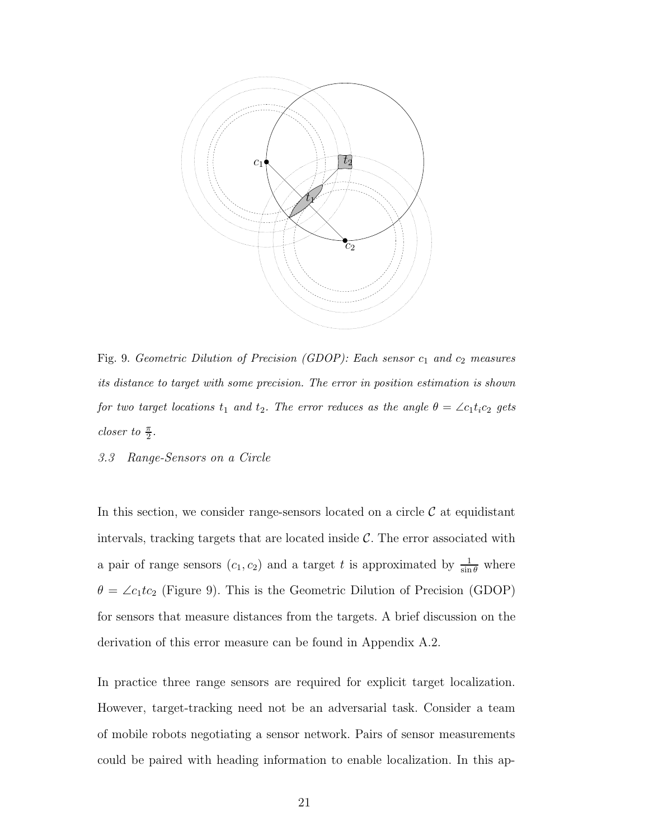

Fig. 9. *Geometric Dilution of Precision (GDOP): Each sensor*  $c_1$  *and*  $c_2$  *measures its distance to target with some precision. The error in position estimation is shown for two target locations*  $t_1$  *and*  $t_2$ *. The error reduces as the angle*  $\theta = \angle c_1 t_i c_2$  *gets closer to*  $\frac{\pi}{2}$ *.* 

3.3 Range-Sensors on a Circle

In this section, we consider range-sensors located on a circle  $\mathcal C$  at equidistant intervals, tracking targets that are located inside  $\mathcal{C}$ . The error associated with a pair of range sensors  $(c_1, c_2)$  and a target t is approximated by  $\frac{1}{\sin \theta}$  where  $\theta = \angle c_1tc_2$  (Figure 9). This is the Geometric Dilution of Precision (GDOP) for sensors that measure distances from the targets. A brief discussion on the derivation of this error measure can be found in Appendix A.2.

In practice three range sensors are required for explicit target localization. However, target-tracking need not be an adversarial task. Consider a team of mobile robots negotiating a sensor network. Pairs of sensor measurements could be paired with heading information to enable localization. In this ap-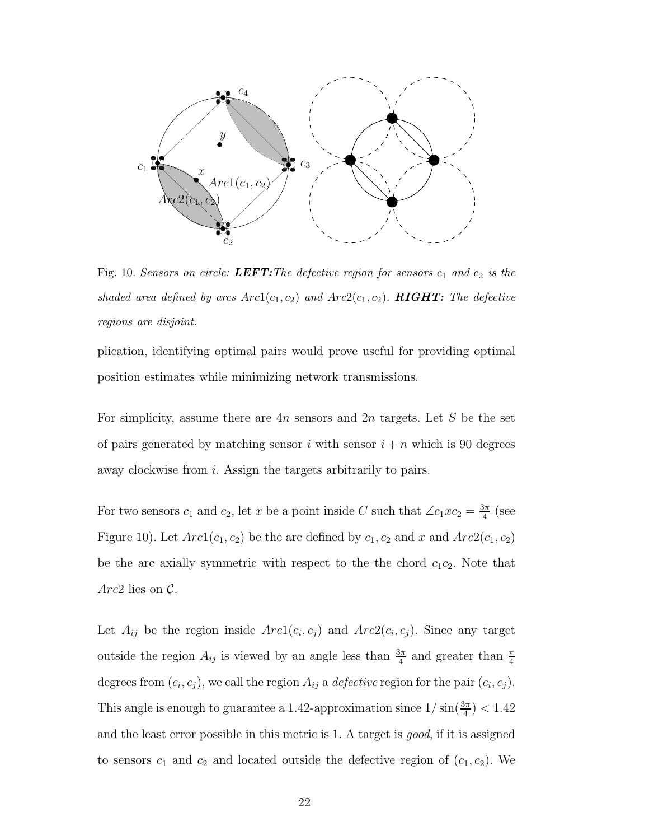

Fig. 10. *Sensors on circle:* LEFT: The defective region for sensors  $c_1$  and  $c_2$  is the *shaded area defined by arcs*  $Arc1(c_1, c_2)$  *and*  $Arc2(c_1, c_2)$ *. RIGHT: The defective regions are disjoint.*

plication, identifying optimal pairs would prove useful for providing optimal position estimates while minimizing network transmissions.

For simplicity, assume there are  $4n$  sensors and  $2n$  targets. Let S be the set of pairs generated by matching sensor i with sensor  $i + n$  which is 90 degrees away clockwise from i. Assign the targets arbitrarily to pairs.

For two sensors  $c_1$  and  $c_2$ , let x be a point inside C such that  $\angle c_1 \cdot x \cdot c_2 = \frac{3\pi}{4}$  (see Figure 10). Let  $Arc1(c_1, c_2)$  be the arc defined by  $c_1, c_2$  and  $x$  and  $Arc2(c_1, c_2)$ be the arc axially symmetric with respect to the the chord  $c_1c_2$ . Note that Arc2 lies on  $\mathcal{C}$ .

Let  $A_{ij}$  be the region inside  $Arc1(c_i, c_j)$  and  $Arc2(c_i, c_j)$ . Since any target outside the region  $A_{ij}$  is viewed by an angle less than  $\frac{3\pi}{4}$  and greater than  $\frac{\pi}{4}$ degrees from  $(c_i, c_j)$ , we call the region  $A_{ij}$  a *defective* region for the pair  $(c_i, c_j)$ . This angle is enough to guarantee a 1.42-approximation since  $1/\sin(\frac{3\pi}{4}) < 1.42$ and the least error possible in this metric is 1. A target is good, if it is assigned to sensors  $c_1$  and  $c_2$  and located outside the defective region of  $(c_1, c_2)$ . We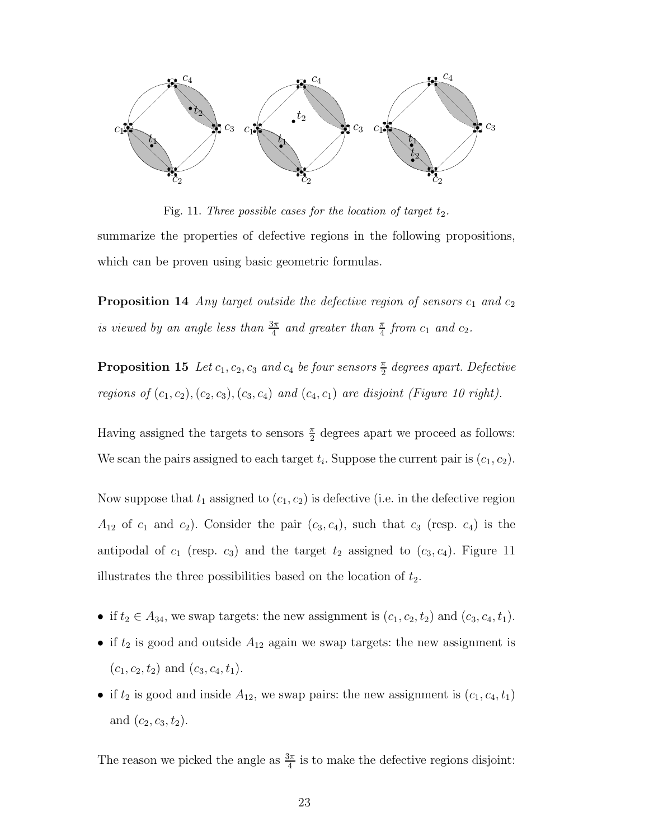

Fig. 11. *Three possible cases for the location of target*  $t_2$ . summarize the properties of defective regions in the following propositions, which can be proven using basic geometric formulas.

**Proposition 14** Any target outside the defective region of sensors  $c_1$  and  $c_2$ is viewed by an angle less than  $\frac{3\pi}{4}$  and greater than  $\frac{\pi}{4}$  from  $c_1$  and  $c_2$ .

**Proposition 15** Let  $c_1, c_2, c_3$  and  $c_4$  be four sensors  $\frac{\pi}{2}$  degrees apart. Defective regions of  $(c_1, c_2), (c_2, c_3), (c_3, c_4)$  and  $(c_4, c_1)$  are disjoint (Figure 10 right).

Having assigned the targets to sensors  $\frac{\pi}{2}$  degrees apart we proceed as follows: We scan the pairs assigned to each target  $t_i$ . Suppose the current pair is  $(c_1, c_2)$ .

Now suppose that  $t_1$  assigned to  $(c_1, c_2)$  is defective (i.e. in the defective region  $A_{12}$  of  $c_1$  and  $c_2$ ). Consider the pair  $(c_3, c_4)$ , such that  $c_3$  (resp.  $c_4$ ) is the antipodal of  $c_1$  (resp.  $c_3$ ) and the target  $t_2$  assigned to  $(c_3, c_4)$ . Figure 11 illustrates the three possibilities based on the location of  $t_2$ .

- if  $t_2 \in A_{34}$ , we swap targets: the new assignment is  $(c_1, c_2, t_2)$  and  $(c_3, c_4, t_1)$ .
- if  $t_2$  is good and outside  $A_{12}$  again we swap targets: the new assignment is  $(c_1, c_2, t_2)$  and  $(c_3, c_4, t_1)$ .
- if  $t_2$  is good and inside  $A_{12}$ , we swap pairs: the new assignment is  $(c_1, c_4, t_1)$ and  $(c_2, c_3, t_2)$ .

The reason we picked the angle as  $\frac{3\pi}{4}$  is to make the defective regions disjoint: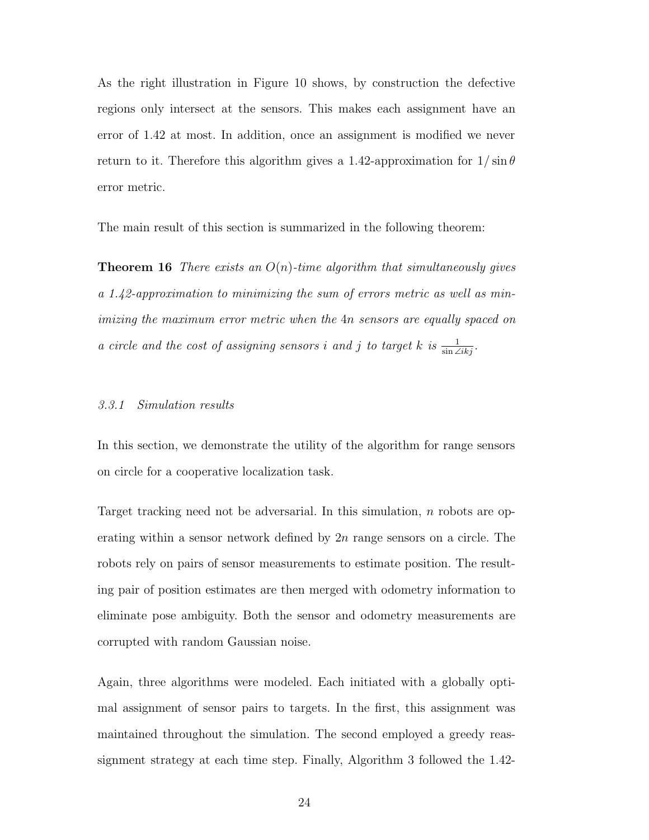As the right illustration in Figure 10 shows, by construction the defective regions only intersect at the sensors. This makes each assignment have an error of 1.42 at most. In addition, once an assignment is modified we never return to it. Therefore this algorithm gives a 1.42-approximation for  $1/\sin\theta$ error metric.

The main result of this section is summarized in the following theorem:

**Theorem 16** There exists an  $O(n)$ -time algorithm that simultaneously gives a 1.42-approximation to minimizing the sum of errors metric as well as minimizing the maximum error metric when the 4n sensors are equally spaced on a circle and the cost of assigning sensors i and j to target k is  $\frac{1}{\sin \angle ikj}$ .

## 3.3.1 Simulation results

In this section, we demonstrate the utility of the algorithm for range sensors on circle for a cooperative localization task.

Target tracking need not be adversarial. In this simulation, n robots are operating within a sensor network defined by  $2n$  range sensors on a circle. The robots rely on pairs of sensor measurements to estimate position. The resulting pair of position estimates are then merged with odometry information to eliminate pose ambiguity. Both the sensor and odometry measurements are corrupted with random Gaussian noise.

Again, three algorithms were modeled. Each initiated with a globally optimal assignment of sensor pairs to targets. In the first, this assignment was maintained throughout the simulation. The second employed a greedy reassignment strategy at each time step. Finally, Algorithm 3 followed the 1.42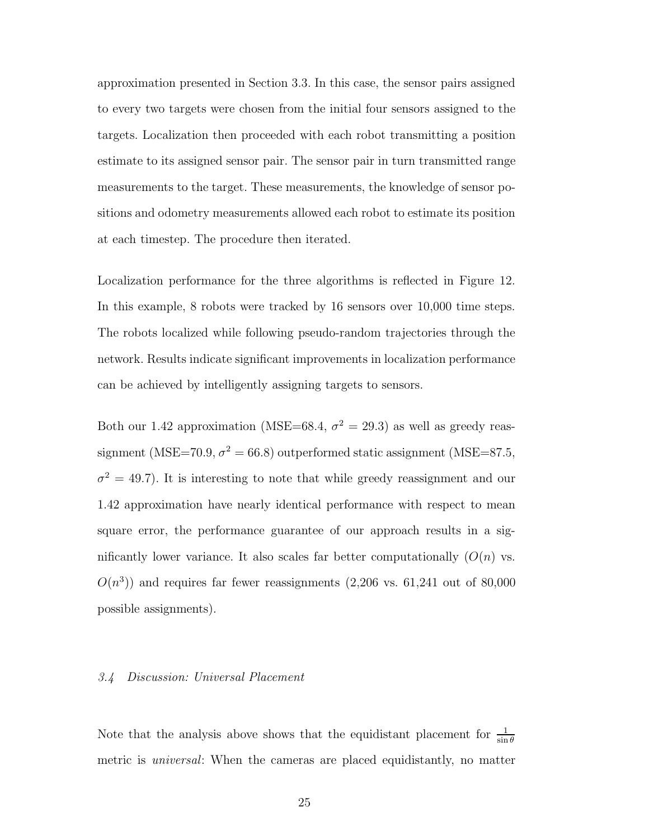approximation presented in Section 3.3. In this case, the sensor pairs assigned to every two targets were chosen from the initial four sensors assigned to the targets. Localization then proceeded with each robot transmitting a position estimate to its assigned sensor pair. The sensor pair in turn transmitted range measurements to the target. These measurements, the knowledge of sensor positions and odometry measurements allowed each robot to estimate its position at each timestep. The procedure then iterated.

Localization performance for the three algorithms is reflected in Figure 12. In this example, 8 robots were tracked by 16 sensors over 10,000 time steps. The robots localized while following pseudo-random trajectories through the network. Results indicate significant improvements in localization performance can be achieved by intelligently assigning targets to sensors.

Both our 1.42 approximation (MSE=68.4,  $\sigma^2 = 29.3$ ) as well as greedy reassignment (MSE=70.9,  $\sigma^2 = 66.8$ ) outperformed static assignment (MSE=87.5,  $\sigma^2 = 49.7$ ). It is interesting to note that while greedy reassignment and our 1.42 approximation have nearly identical performance with respect to mean square error, the performance guarantee of our approach results in a significantly lower variance. It also scales far better computationally  $(O(n)$  vs.  $O(n^3)$  and requires far fewer reassignments (2,206 vs. 61,241 out of 80,000 possible assignments).

#### 3.4 Discussion: Universal Placement

Note that the analysis above shows that the equidistant placement for  $\frac{1}{\sin \theta}$ metric is universal: When the cameras are placed equidistantly, no matter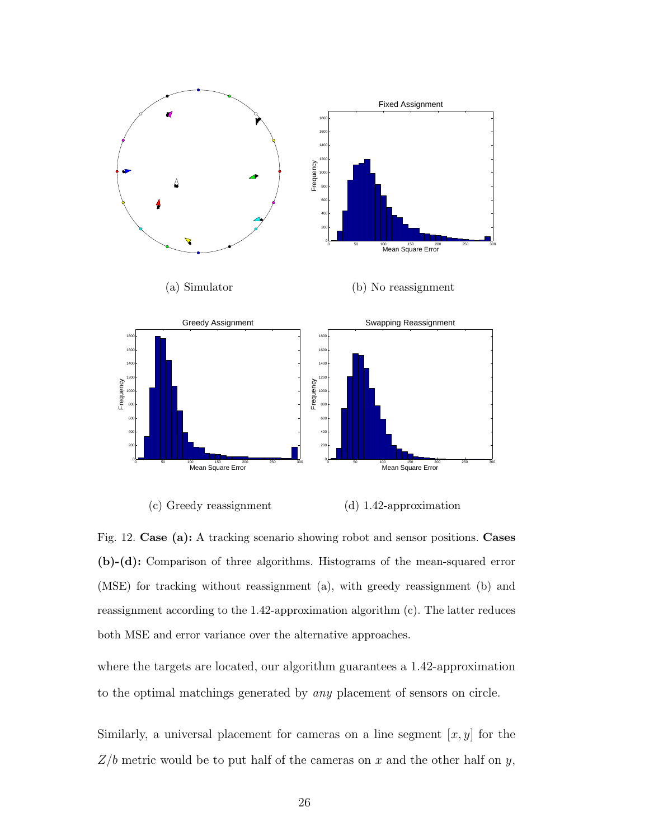



Fig. 12. **Case (a):** A tracking scenario showing robot and sensor positions. **Cases (b)-(d):** Comparison of three algorithms. Histograms of the mean-squared error (MSE) for tracking without reassignment (a), with greedy reassignment (b) and reassignment according to the 1.42-approximation algorithm (c). The latter reduces both MSE and error variance over the alternative approaches.

where the targets are located, our algorithm guarantees a 1.42-approximation to the optimal matchings generated by any placement of sensors on circle.

Similarly, a universal placement for cameras on a line segment  $[x, y]$  for the  $Z/b$  metric would be to put half of the cameras on x and the other half on y,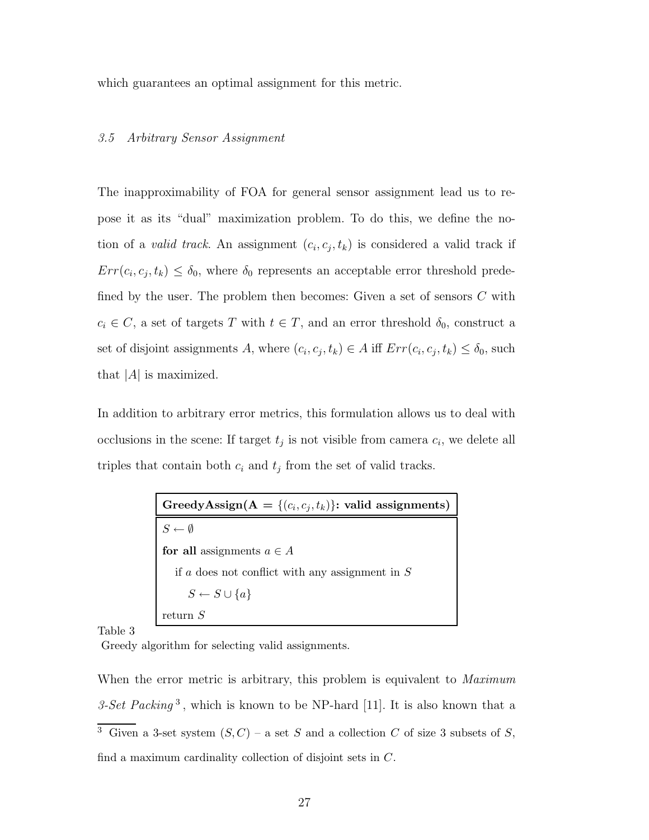which guarantees an optimal assignment for this metric.

### 3.5 Arbitrary Sensor Assignment

The inapproximability of FOA for general sensor assignment lead us to repose it as its "dual" maximization problem. To do this, we define the notion of a *valid track*. An assignment  $(c_i, c_j, t_k)$  is considered a valid track if  $Err(c_i, c_j, t_k) \leq \delta_0$ , where  $\delta_0$  represents an acceptable error threshold predefined by the user. The problem then becomes: Given a set of sensors  $C$  with  $c_i \in C$ , a set of targets T with  $t \in T$ , and an error threshold  $\delta_0$ , construct a set of disjoint assignments A, where  $(c_i, c_j, t_k) \in A$  iff  $Err(c_i, c_j, t_k) \leq \delta_0$ , such that  $|A|$  is maximized.

In addition to arbitrary error metrics, this formulation allows us to deal with occlusions in the scene: If target  $t_j$  is not visible from camera  $c_i$ , we delete all triples that contain both  $c_i$  and  $t_j$  from the set of valid tracks.

| GreedyAssign( $A = \{(c_i, c_j, t_k)\}\$ : valid assignments) |
|---------------------------------------------------------------|
| $S \leftarrow \emptyset$                                      |
| for all assignments $a \in A$                                 |
| if a does not conflict with any assignment in $S$             |
| $S \leftarrow S \cup \{a\}$                                   |
| return $S$                                                    |

Table 3

Greedy algorithm for selecting valid assignments.

When the error metric is arbitrary, this problem is equivalent to *Maximum*  $3-Set$   $Packing$ <sup>3</sup>, which is known to be NP-hard [11]. It is also known that a  $\overline{3}$  Given a 3-set system  $(S, C)$  – a set S and a collection C of size 3 subsets of S, find a maximum cardinality collection of disjoint sets in C.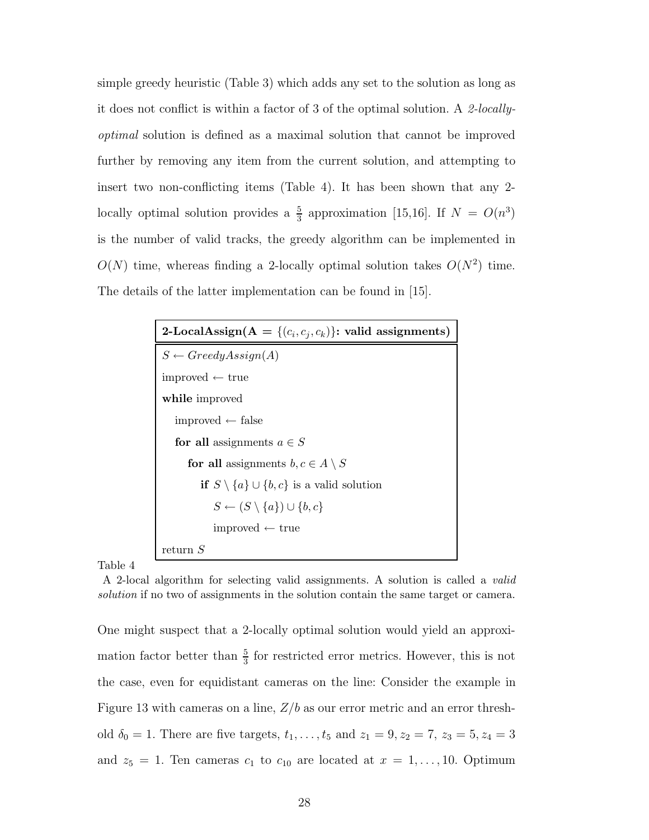simple greedy heuristic (Table 3) which adds any set to the solution as long as it does not conflict is within a factor of 3 of the optimal solution. A 2-locallyoptimal solution is defined as a maximal solution that cannot be improved further by removing any item from the current solution, and attempting to insert two non-conflicting items (Table 4). It has been shown that any 2 locally optimal solution provides a  $\frac{5}{3}$  approximation [15,16]. If  $N = O(n^3)$ is the number of valid tracks, the greedy algorithm can be implemented in  $O(N)$  time, whereas finding a 2-locally optimal solution takes  $O(N^2)$  time. The details of the latter implementation can be found in [15].

| 2-LocalAssign( $A = \{(c_i, c_j, c_k)\}\$ : valid assignments) |
|----------------------------------------------------------------|
| $S \leftarrow GreedyAssign(A)$                                 |
| improved $\leftarrow$ true                                     |
| while improved                                                 |
| improved $\leftarrow$ false                                    |
| for all assignments $a \in S$                                  |
| for all assignments $b, c \in A \setminus S$                   |
| <b>if</b> $S \setminus \{a\} \cup \{b,c\}$ is a valid solution |
| $S \leftarrow (S \setminus \{a\}) \cup \{b, c\}$               |
| improved $\leftarrow$ true                                     |
| return $S$                                                     |

Table 4

A 2-local algorithm for selecting valid assignments. A solution is called a *valid solution* if no two of assignments in the solution contain the same target or camera.

One might suspect that a 2-locally optimal solution would yield an approximation factor better than  $\frac{5}{3}$  for restricted error metrics. However, this is not the case, even for equidistant cameras on the line: Consider the example in Figure 13 with cameras on a line,  $Z/b$  as our error metric and an error threshold  $\delta_0 = 1$ . There are five targets,  $t_1, \ldots, t_5$  and  $z_1 = 9, z_2 = 7, z_3 = 5, z_4 = 3$ and  $z_5 = 1$ . Ten cameras  $c_1$  to  $c_{10}$  are located at  $x = 1, \ldots, 10$ . Optimum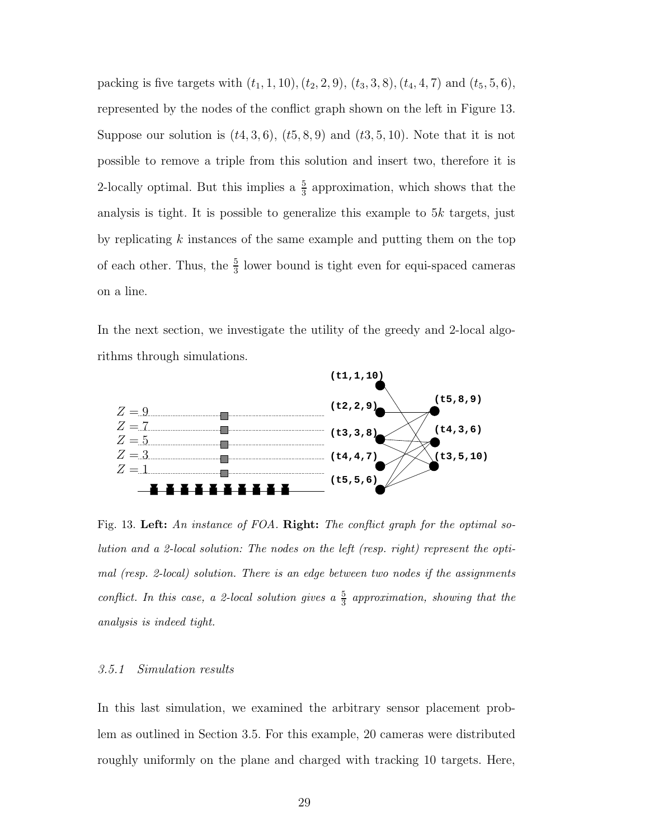packing is five targets with  $(t_1, 1, 10)$ ,  $(t_2, 2, 9)$ ,  $(t_3, 3, 8)$ ,  $(t_4, 4, 7)$  and  $(t_5, 5, 6)$ , represented by the nodes of the conflict graph shown on the left in Figure 13. Suppose our solution is  $(t4, 3, 6)$ ,  $(t5, 8, 9)$  and  $(t3, 5, 10)$ . Note that it is not possible to remove a triple from this solution and insert two, therefore it is 2-locally optimal. But this implies a  $\frac{5}{3}$  approximation, which shows that the analysis is tight. It is possible to generalize this example to  $5k$  targets, just by replicating  $k$  instances of the same example and putting them on the top of each other. Thus, the  $\frac{5}{3}$  lower bound is tight even for equi-spaced cameras on a line.

In the next section, we investigate the utility of the greedy and 2-local algorithms through simulations.



Fig. 13. **Left:** *An instance of FOA.* **Right:** *The conflict graph for the optimal solution and a 2-local solution: The nodes on the left (resp. right) represent the optimal (resp. 2-local) solution. There is an edge between two nodes if the assignments conflict. In this case, a 2-local solution gives a*  $\frac{5}{3}$  *approximation, showing that the analysis is indeed tight.*

#### 3.5.1 Simulation results

In this last simulation, we examined the arbitrary sensor placement problem as outlined in Section 3.5. For this example, 20 cameras were distributed roughly uniformly on the plane and charged with tracking 10 targets. Here,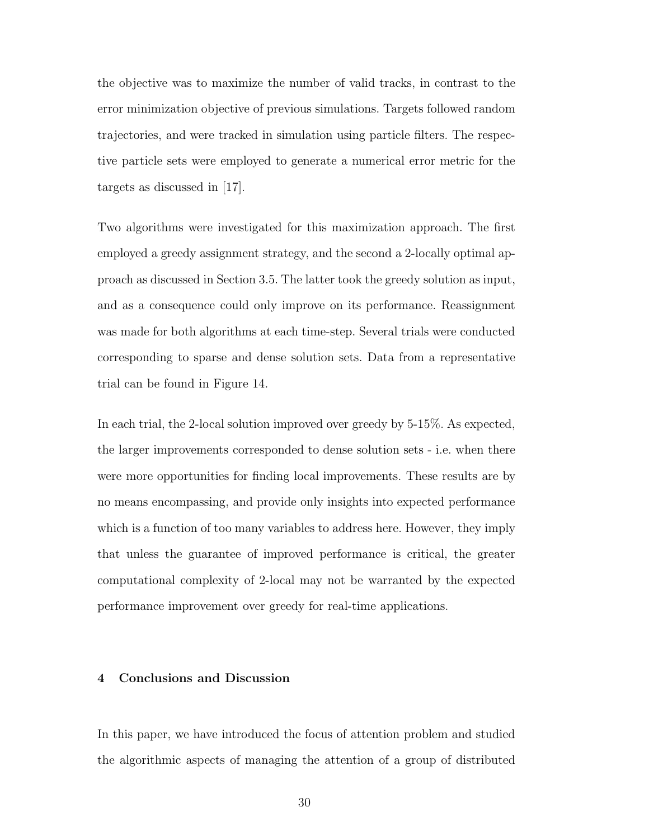the objective was to maximize the number of valid tracks, in contrast to the error minimization objective of previous simulations. Targets followed random trajectories, and were tracked in simulation using particle filters. The respective particle sets were employed to generate a numerical error metric for the targets as discussed in [17].

Two algorithms were investigated for this maximization approach. The first employed a greedy assignment strategy, and the second a 2-locally optimal approach as discussed in Section 3.5. The latter took the greedy solution as input, and as a consequence could only improve on its performance. Reassignment was made for both algorithms at each time-step. Several trials were conducted corresponding to sparse and dense solution sets. Data from a representative trial can be found in Figure 14.

In each trial, the 2-local solution improved over greedy by 5-15%. As expected, the larger improvements corresponded to dense solution sets - i.e. when there were more opportunities for finding local improvements. These results are by no means encompassing, and provide only insights into expected performance which is a function of too many variables to address here. However, they imply that unless the guarantee of improved performance is critical, the greater computational complexity of 2-local may not be warranted by the expected performance improvement over greedy for real-time applications.

## **4 Conclusions and Discussion**

In this paper, we have introduced the focus of attention problem and studied the algorithmic aspects of managing the attention of a group of distributed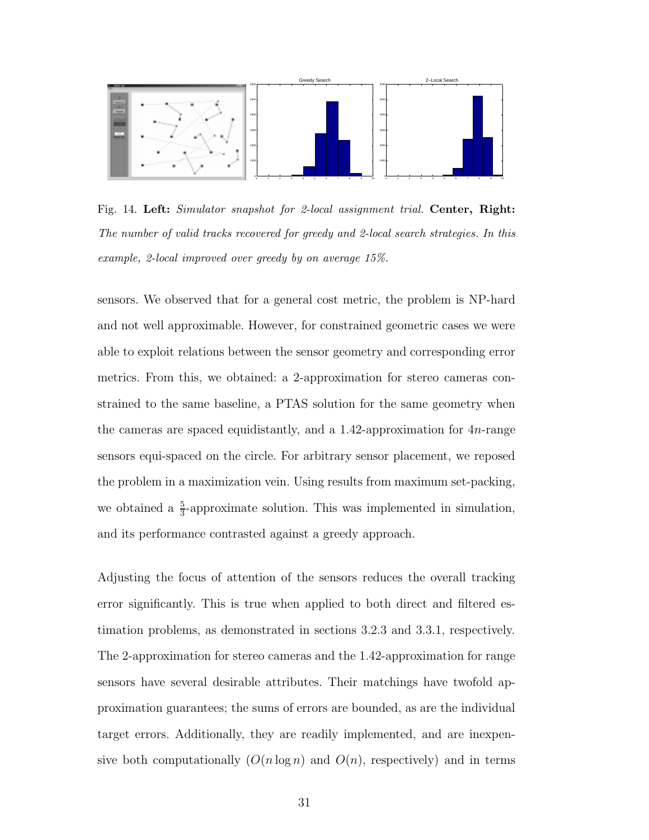

Fig. 14. **Left:** *Simulator snapshot for 2-local assignment trial.* **Center, Right:** *The number of valid tracks recovered for greedy and 2-local search strategies. In this example, 2-local improved over greedy by on average 15%.*

sensors. We observed that for a general cost metric, the problem is NP-hard and not well approximable. However, for constrained geometric cases we were able to exploit relations between the sensor geometry and corresponding error metrics. From this, we obtained: a 2-approximation for stereo cameras constrained to the same baseline, a PTAS solution for the same geometry when the cameras are spaced equidistantly, and a 1.42-approximation for  $4n$ -range sensors equi-spaced on the circle. For arbitrary sensor placement, we reposed the problem in a maximization vein. Using results from maximum set-packing, we obtained a  $\frac{5}{3}$ -approximate solution. This was implemented in simulation, and its performance contrasted against a greedy approach.

Adjusting the focus of attention of the sensors reduces the overall tracking error significantly. This is true when applied to both direct and filtered estimation problems, as demonstrated in sections 3.2.3 and 3.3.1, respectively. The 2-approximation for stereo cameras and the 1.42-approximation for range sensors have several desirable attributes. Their matchings have twofold approximation guarantees; the sums of errors are bounded, as are the individual target errors. Additionally, they are readily implemented, and are inexpensive both computationally  $(O(n \log n)$  and  $O(n)$ , respectively) and in terms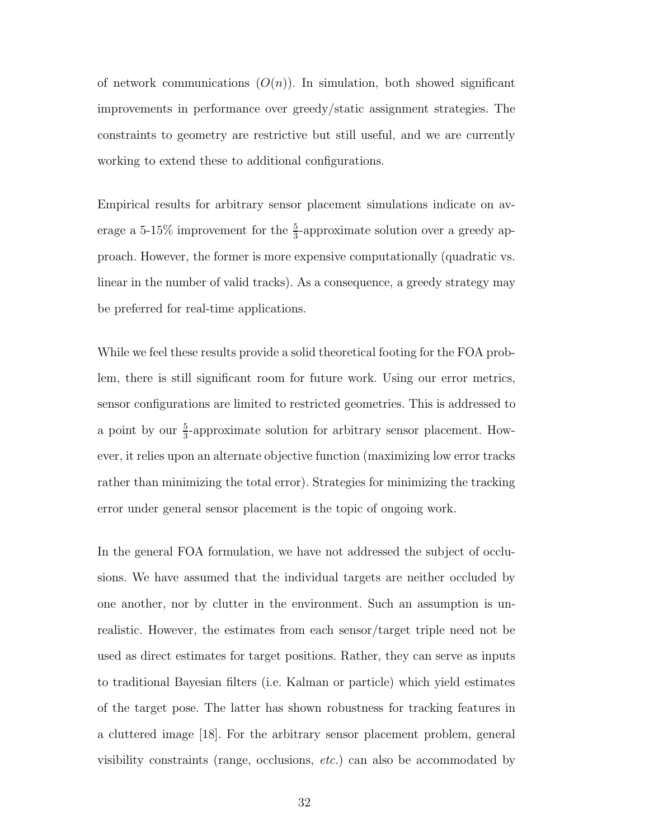of network communications  $(O(n))$ . In simulation, both showed significant improvements in performance over greedy/static assignment strategies. The constraints to geometry are restrictive but still useful, and we are currently working to extend these to additional configurations.

Empirical results for arbitrary sensor placement simulations indicate on average a 5-15% improvement for the  $\frac{5}{3}$ -approximate solution over a greedy approach. However, the former is more expensive computationally (quadratic vs. linear in the number of valid tracks). As a consequence, a greedy strategy may be preferred for real-time applications.

While we feel these results provide a solid theoretical footing for the FOA problem, there is still significant room for future work. Using our error metrics, sensor configurations are limited to restricted geometries. This is addressed to a point by our  $\frac{5}{3}$ -approximate solution for arbitrary sensor placement. However, it relies upon an alternate objective function (maximizing low error tracks rather than minimizing the total error). Strategies for minimizing the tracking error under general sensor placement is the topic of ongoing work.

In the general FOA formulation, we have not addressed the subject of occlusions. We have assumed that the individual targets are neither occluded by one another, nor by clutter in the environment. Such an assumption is unrealistic. However, the estimates from each sensor/target triple need not be used as direct estimates for target positions. Rather, they can serve as inputs to traditional Bayesian filters (i.e. Kalman or particle) which yield estimates of the target pose. The latter has shown robustness for tracking features in a cluttered image [18]. For the arbitrary sensor placement problem, general visibility constraints (range, occlusions, etc.) can also be accommodated by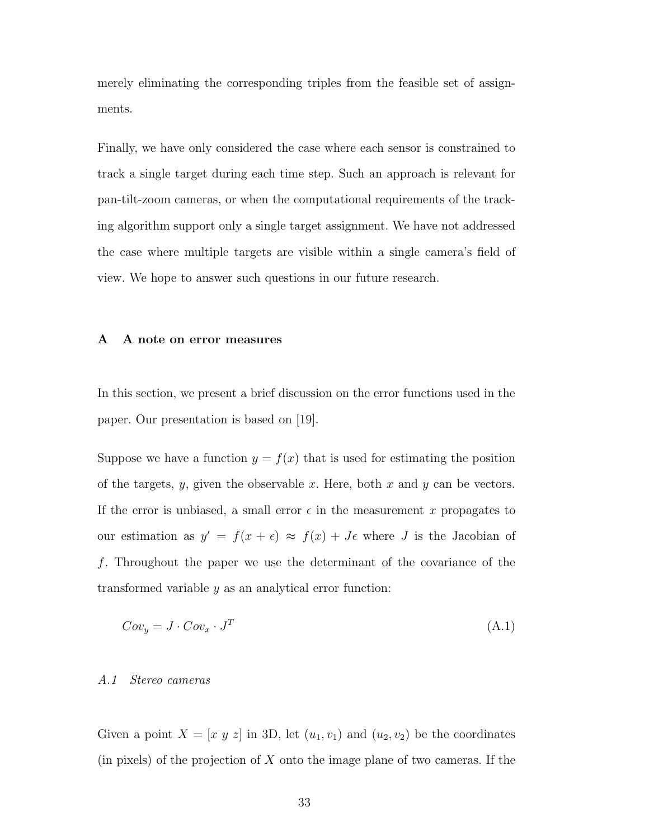merely eliminating the corresponding triples from the feasible set of assignments.

Finally, we have only considered the case where each sensor is constrained to track a single target during each time step. Such an approach is relevant for pan-tilt-zoom cameras, or when the computational requirements of the tracking algorithm support only a single target assignment. We have not addressed the case where multiple targets are visible within a single camera's field of view. We hope to answer such questions in our future research.

### **A A note on error measures**

In this section, we present a brief discussion on the error functions used in the paper. Our presentation is based on [19].

Suppose we have a function  $y = f(x)$  that is used for estimating the position of the targets, y, given the observable x. Here, both x and y can be vectors. If the error is unbiased, a small error  $\epsilon$  in the measurement x propagates to our estimation as  $y' = f(x + \epsilon) \approx f(x) + J\epsilon$  where J is the Jacobian of f. Throughout the paper we use the determinant of the covariance of the transformed variable  $y$  as an analytical error function:

$$
Cov_y = J \cdot Cov_x \cdot J^T \tag{A.1}
$$

#### A.1 Stereo cameras

Given a point  $X = [x \ y \ z]$  in 3D, let  $(u_1, v_1)$  and  $(u_2, v_2)$  be the coordinates (in pixels) of the projection of X onto the image plane of two cameras. If the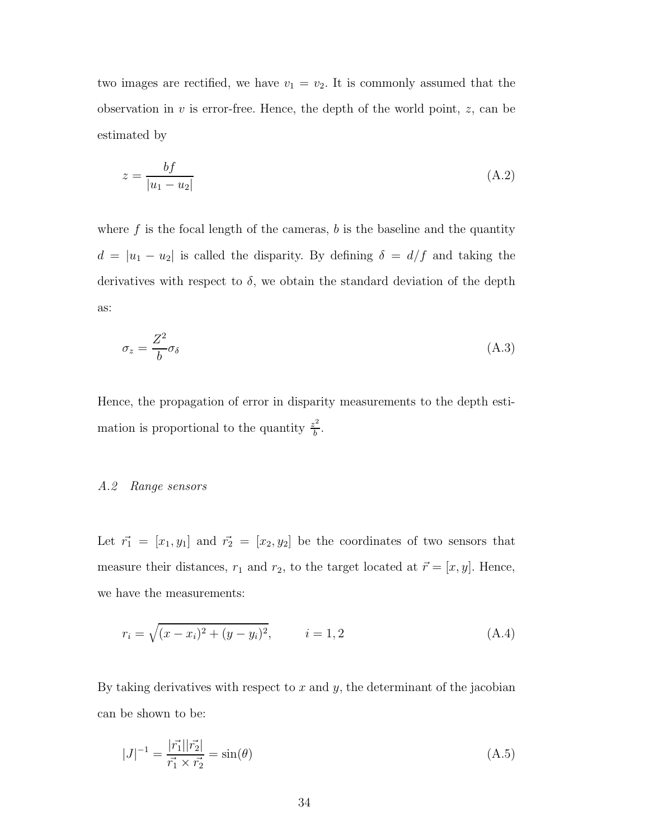two images are rectified, we have  $v_1 = v_2$ . It is commonly assumed that the observation in  $v$  is error-free. Hence, the depth of the world point,  $z$ , can be estimated by

$$
z = \frac{bf}{|u_1 - u_2|} \tag{A.2}
$$

where  $f$  is the focal length of the cameras,  $b$  is the baseline and the quantity  $d = |u_1 - u_2|$  is called the disparity. By defining  $\delta = d/f$  and taking the derivatives with respect to  $\delta$ , we obtain the standard deviation of the depth as:

$$
\sigma_z = \frac{Z^2}{b} \sigma_\delta \tag{A.3}
$$

Hence, the propagation of error in disparity measurements to the depth estimation is proportional to the quantity  $\frac{z^2}{b}$ .

## A.2 Range sensors

Let  $\vec{r_1} = [x_1, y_1]$  and  $\vec{r_2} = [x_2, y_2]$  be the coordinates of two sensors that measure their distances,  $r_1$  and  $r_2$ , to the target located at  $\vec{r} = [x, y]$ . Hence, we have the measurements:

$$
r_i = \sqrt{(x - x_i)^2 + (y - y_i)^2}, \qquad i = 1, 2
$$
\n(A.4)

By taking derivatives with respect to  $x$  and  $y$ , the determinant of the jacobian can be shown to be:

$$
|J|^{-1} = \frac{|\vec{r_1}||\vec{r_2}|}{\vec{r_1} \times \vec{r_2}} = \sin(\theta)
$$
\n(A.5)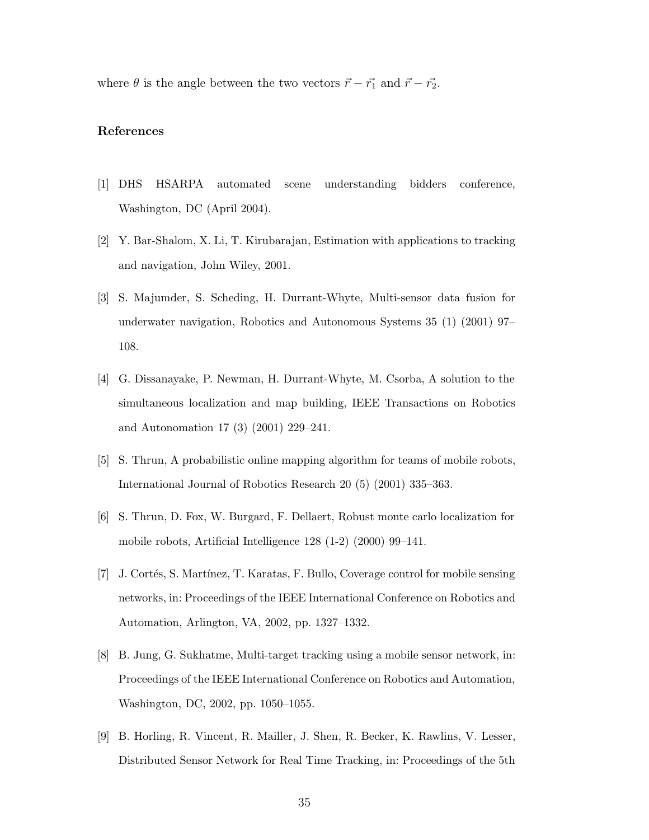where  $\theta$  is the angle between the two vectors  $\vec{r} - \vec{r_1}$  and  $\vec{r} - \vec{r_2}$ .

## **References**

- [1] DHS HSARPA automated scene understanding bidders conference, Washington, DC (April 2004).
- [2] Y. Bar-Shalom, X. Li, T. Kirubarajan, Estimation with applications to tracking and navigation, John Wiley, 2001.
- [3] S. Majumder, S. Scheding, H. Durrant-Whyte, Multi-sensor data fusion for underwater navigation, Robotics and Autonomous Systems 35 (1) (2001) 97– 108.
- [4] G. Dissanayake, P. Newman, H. Durrant-Whyte, M. Csorba, A solution to the simultaneous localization and map building, IEEE Transactions on Robotics and Autonomation 17 (3) (2001) 229–241.
- [5] S. Thrun, A probabilistic online mapping algorithm for teams of mobile robots, International Journal of Robotics Research 20 (5) (2001) 335–363.
- [6] S. Thrun, D. Fox, W. Burgard, F. Dellaert, Robust monte carlo localization for mobile robots, Artificial Intelligence 128 (1-2) (2000) 99–141.
- [7] J. Cortés, S. Martínez, T. Karatas, F. Bullo, Coverage control for mobile sensing networks, in: Proceedings of the IEEE International Conference on Robotics and Automation, Arlington, VA, 2002, pp. 1327–1332.
- [8] B. Jung, G. Sukhatme, Multi-target tracking using a mobile sensor network, in: Proceedings of the IEEE International Conference on Robotics and Automation, Washington, DC, 2002, pp. 1050–1055.
- [9] B. Horling, R. Vincent, R. Mailler, J. Shen, R. Becker, K. Rawlins, V. Lesser, Distributed Sensor Network for Real Time Tracking, in: Proceedings of the 5th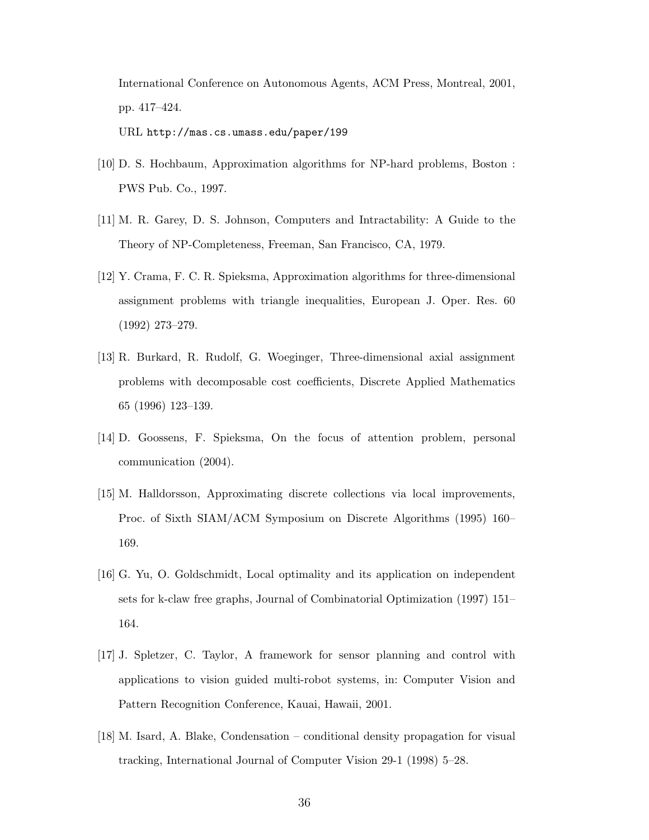International Conference on Autonomous Agents, ACM Press, Montreal, 2001, pp. 417–424.

URL http://mas.cs.umass.edu/paper/199

- [10] D. S. Hochbaum, Approximation algorithms for NP-hard problems, Boston : PWS Pub. Co., 1997.
- [11] M. R. Garey, D. S. Johnson, Computers and Intractability: A Guide to the Theory of NP-Completeness, Freeman, San Francisco, CA, 1979.
- [12] Y. Crama, F. C. R. Spieksma, Approximation algorithms for three-dimensional assignment problems with triangle inequalities, European J. Oper. Res. 60 (1992) 273–279.
- [13] R. Burkard, R. Rudolf, G. Woeginger, Three-dimensional axial assignment problems with decomposable cost coefficients, Discrete Applied Mathematics 65 (1996) 123–139.
- [14] D. Goossens, F. Spieksma, On the focus of attention problem, personal communication (2004).
- [15] M. Halldorsson, Approximating discrete collections via local improvements, Proc. of Sixth SIAM/ACM Symposium on Discrete Algorithms (1995) 160– 169.
- [16] G. Yu, O. Goldschmidt, Local optimality and its application on independent sets for k-claw free graphs, Journal of Combinatorial Optimization (1997) 151– 164.
- [17] J. Spletzer, C. Taylor, A framework for sensor planning and control with applications to vision guided multi-robot systems, in: Computer Vision and Pattern Recognition Conference, Kauai, Hawaii, 2001.
- [18] M. Isard, A. Blake, Condensation conditional density propagation for visual tracking, International Journal of Computer Vision 29-1 (1998) 5–28.